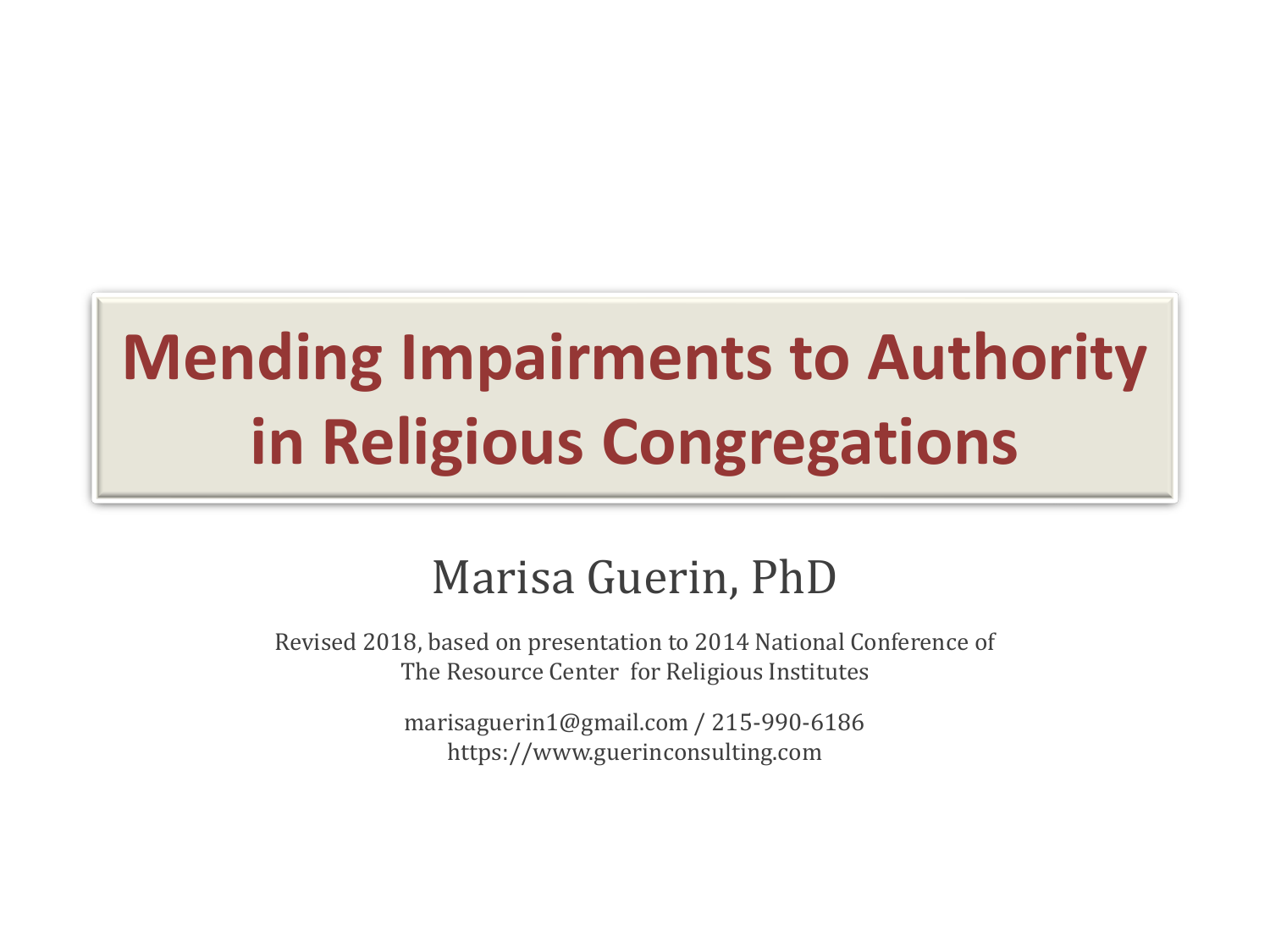# **Mending Impairments to Authority in Religious Congregations**

#### Marisa Guerin, PhD

Revised 2018, based on presentation to 2014 National Conference of The Resource Center for Religious Institutes

> marisaguerin1@gmail.com / 215-990-6186 https://www.guerinconsulting.com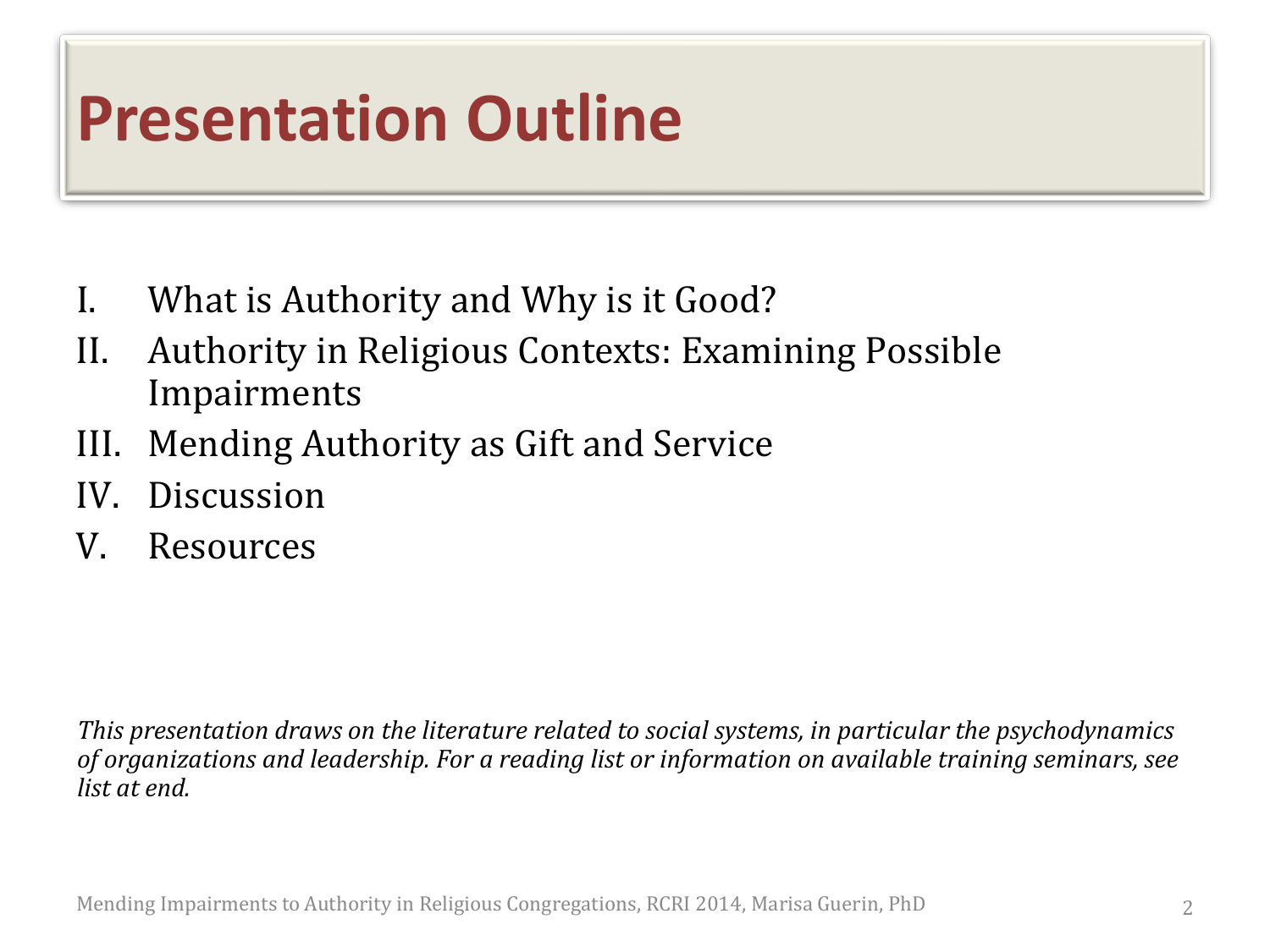### **Presentation Outline**

- I. What is Authority and Why is it Good?
- II. Authority in Religious Contexts: Examining Possible Impairments
- III. Mending Authority as Gift and Service
- IV. Discussion
- V. Resources

*This presentation draws on the literature related to social systems, in particular the psychodynamics of organizations and leadership. For a reading list or information on available training seminars, see list at end.*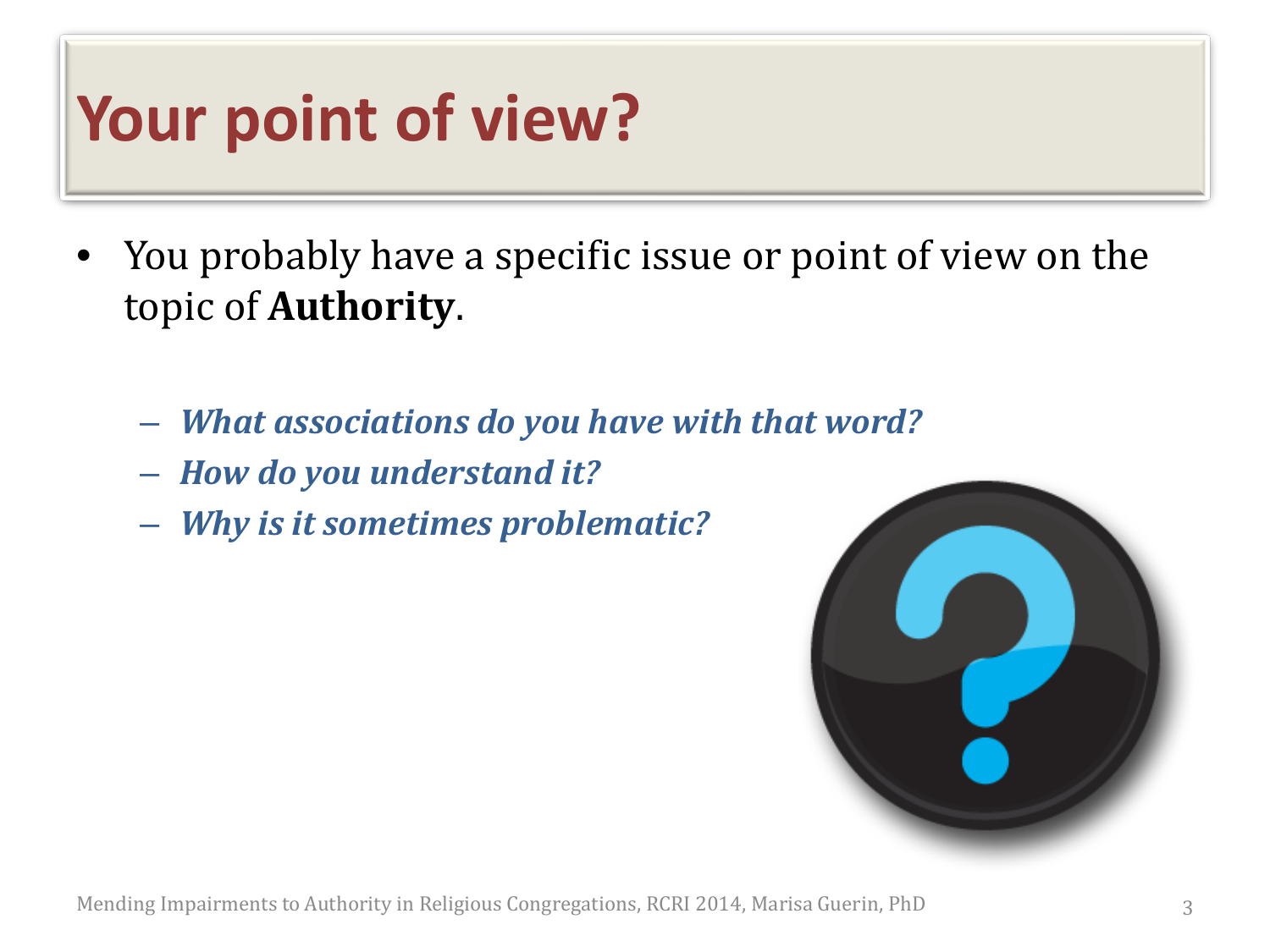### **Your point of view?**

- You probably have a specific issue or point of view on the topic of **Authority**.
	- *What associations do you have with that word?*
	- *How do you understand it?*
	- *Why is it sometimes problematic?*

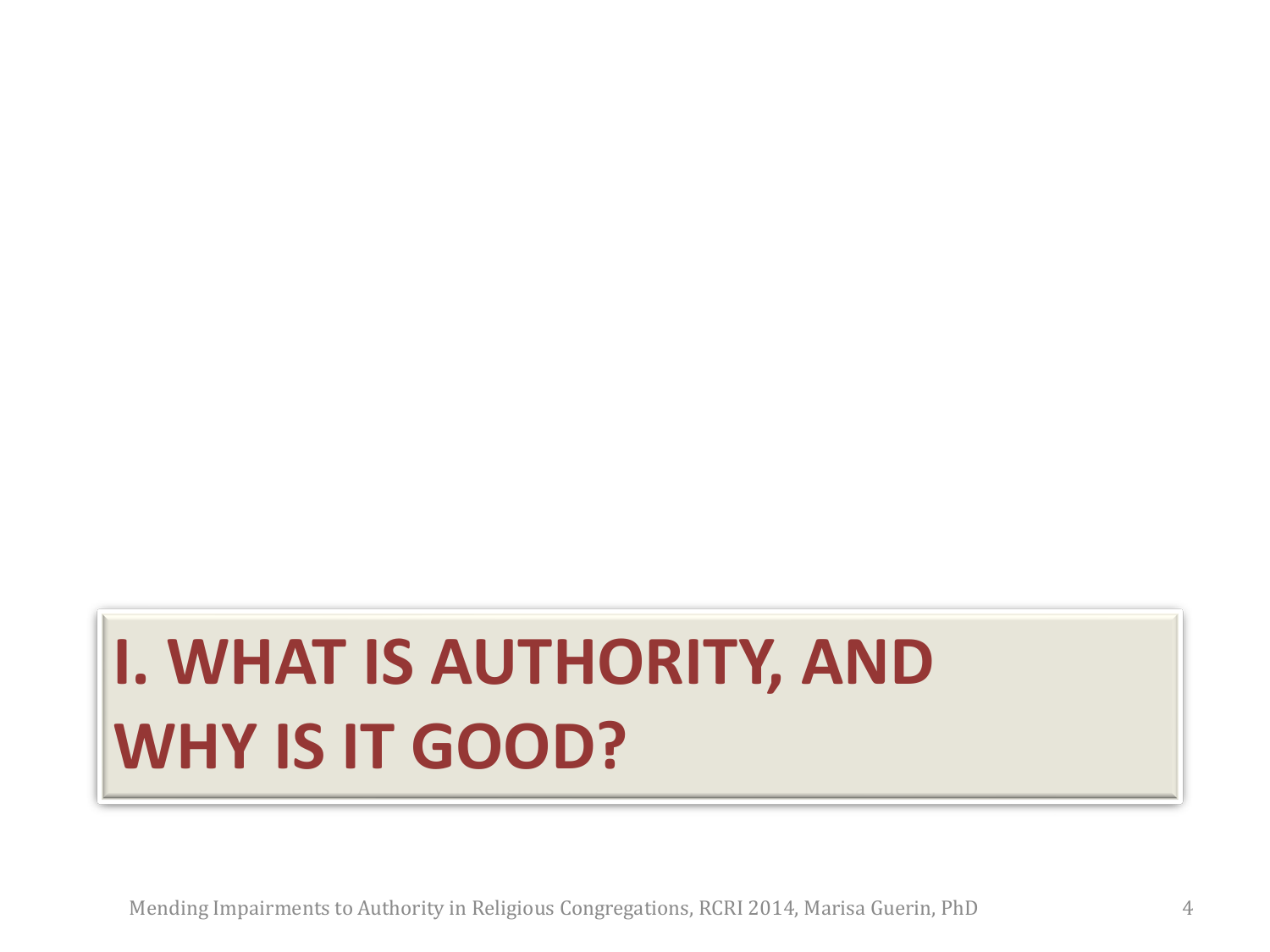# **I. WHAT IS AUTHORITY, AND WHY IS IT GOOD?**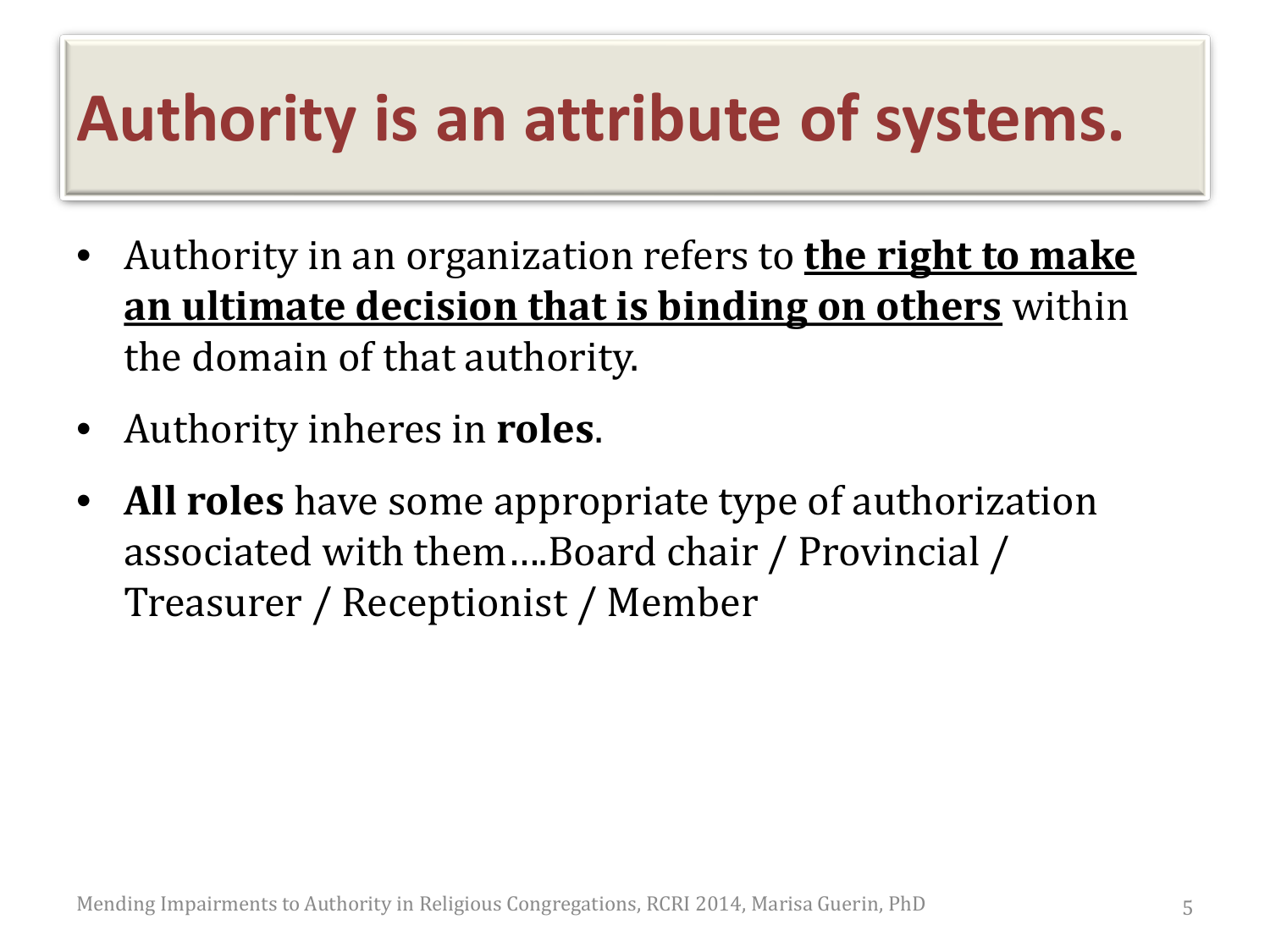### **Authority is an attribute of systems.**

- Authority in an organization refers to **the right to make an ultimate decision that is binding on others** within the domain of that authority.
- Authority inheres in **roles**.
- **All roles** have some appropriate type of authorization associated with them….Board chair / Provincial / Treasurer / Receptionist / Member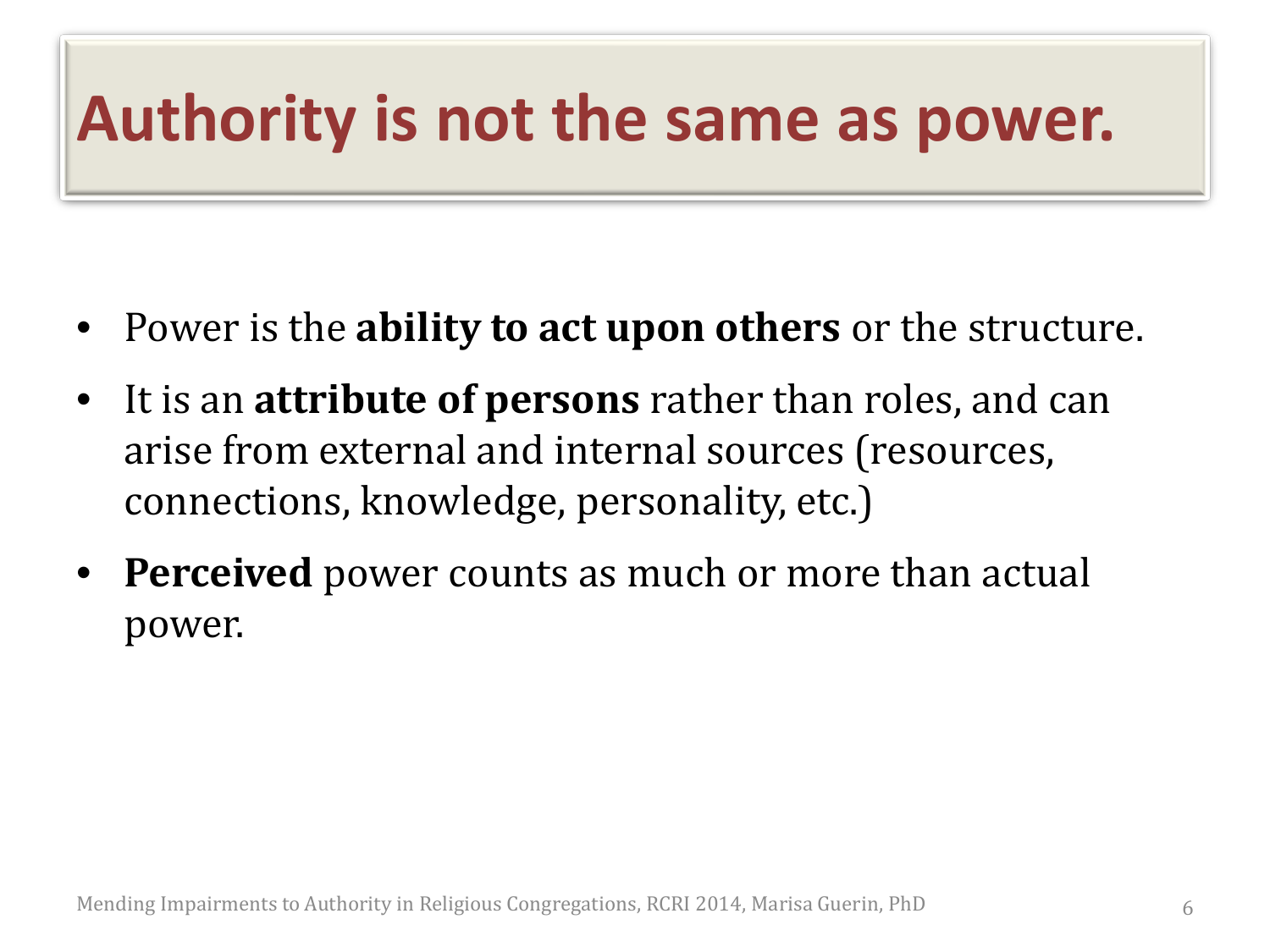### **Authority is not the same as power.**

- Power is the **ability to act upon others** or the structure.
- It is an **attribute of persons** rather than roles, and can arise from external and internal sources (resources, connections, knowledge, personality, etc.)
- **Perceived** power counts as much or more than actual power.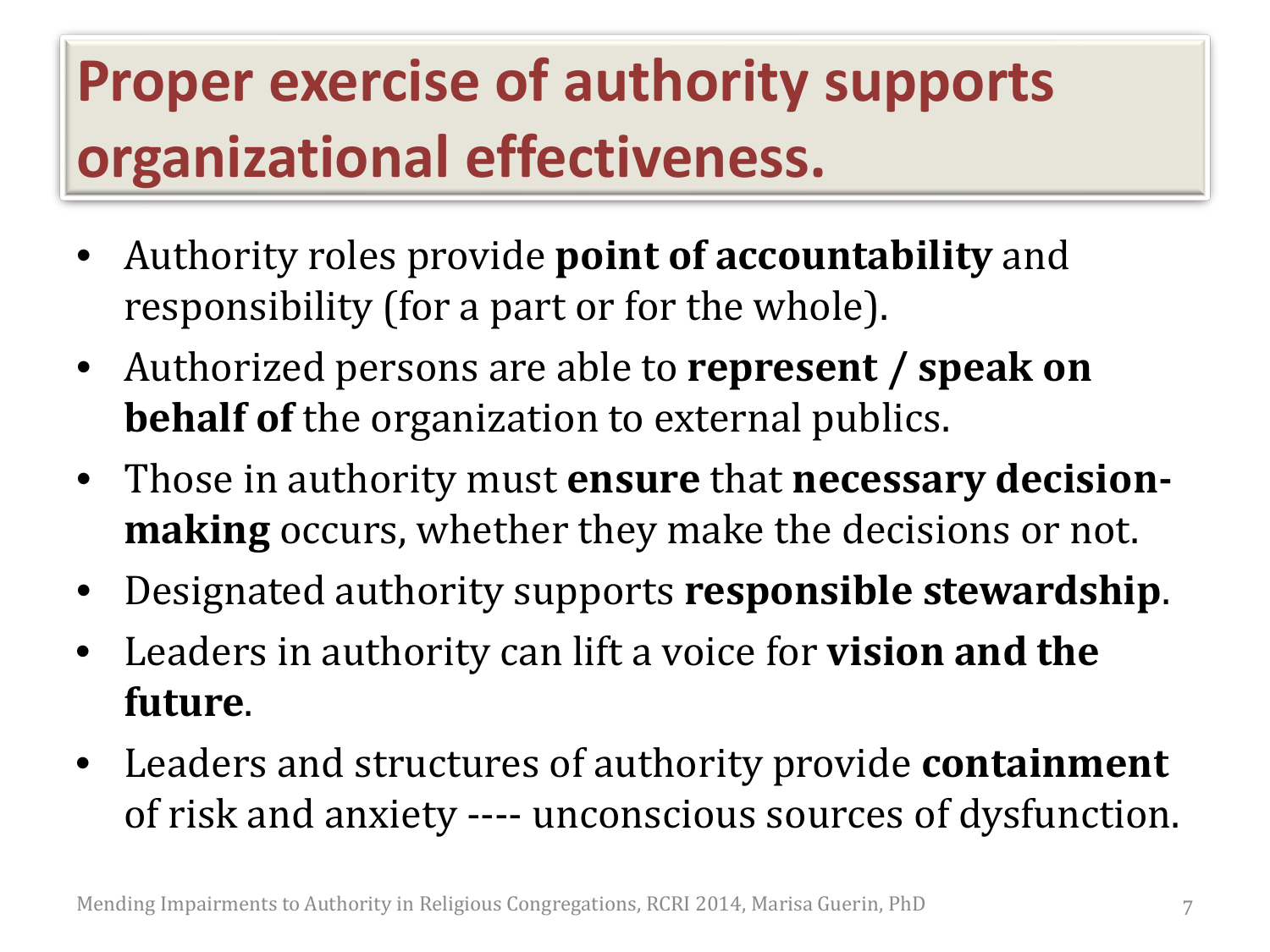### **Proper exercise of authority supports organizational effectiveness.**

- Authority roles provide **point of accountability** and responsibility (for a part or for the whole).
- Authorized persons are able to **represent / speak on behalf of** the organization to external publics.
- Those in authority must **ensure** that **necessary decisionmaking** occurs, whether they make the decisions or not.
- Designated authority supports **responsible stewardship**.
- Leaders in authority can lift a voice for **vision and the future**.
- Leaders and structures of authority provide **containment** of risk and anxiety ---- unconscious sources of dysfunction.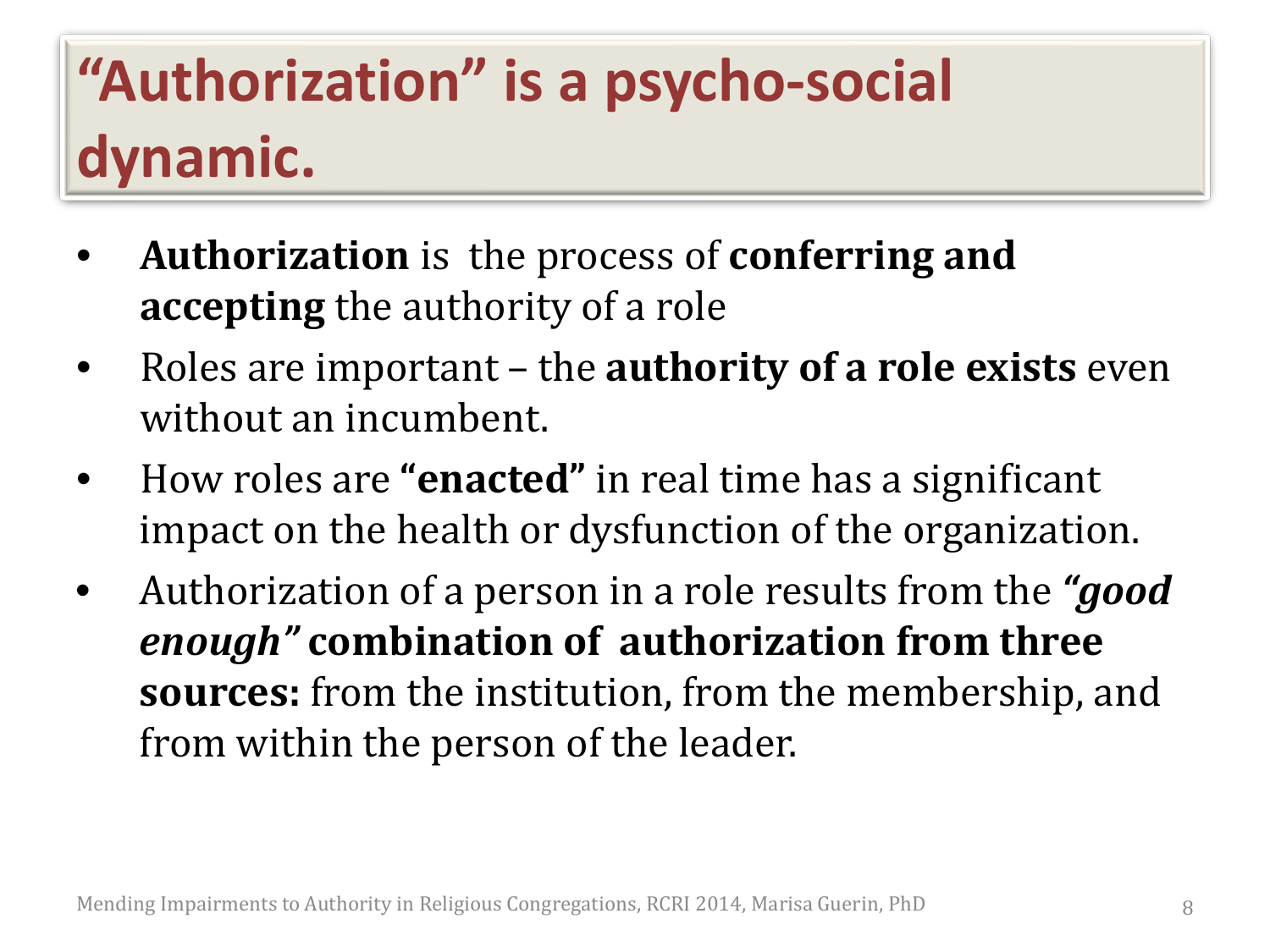### **"Authorization" is a psycho-social dynamic.**

- **Authorization** is the process of **conferring and accepting** the authority of a role
- Roles are important the **authority of a role exists** even without an incumbent.
- How roles are **"enacted"** in real time has a significant impact on the health or dysfunction of the organization.
- Authorization of a person in a role results from the *"good enough"* **combination of authorization from three sources:** from the institution, from the membership, and from within the person of the leader.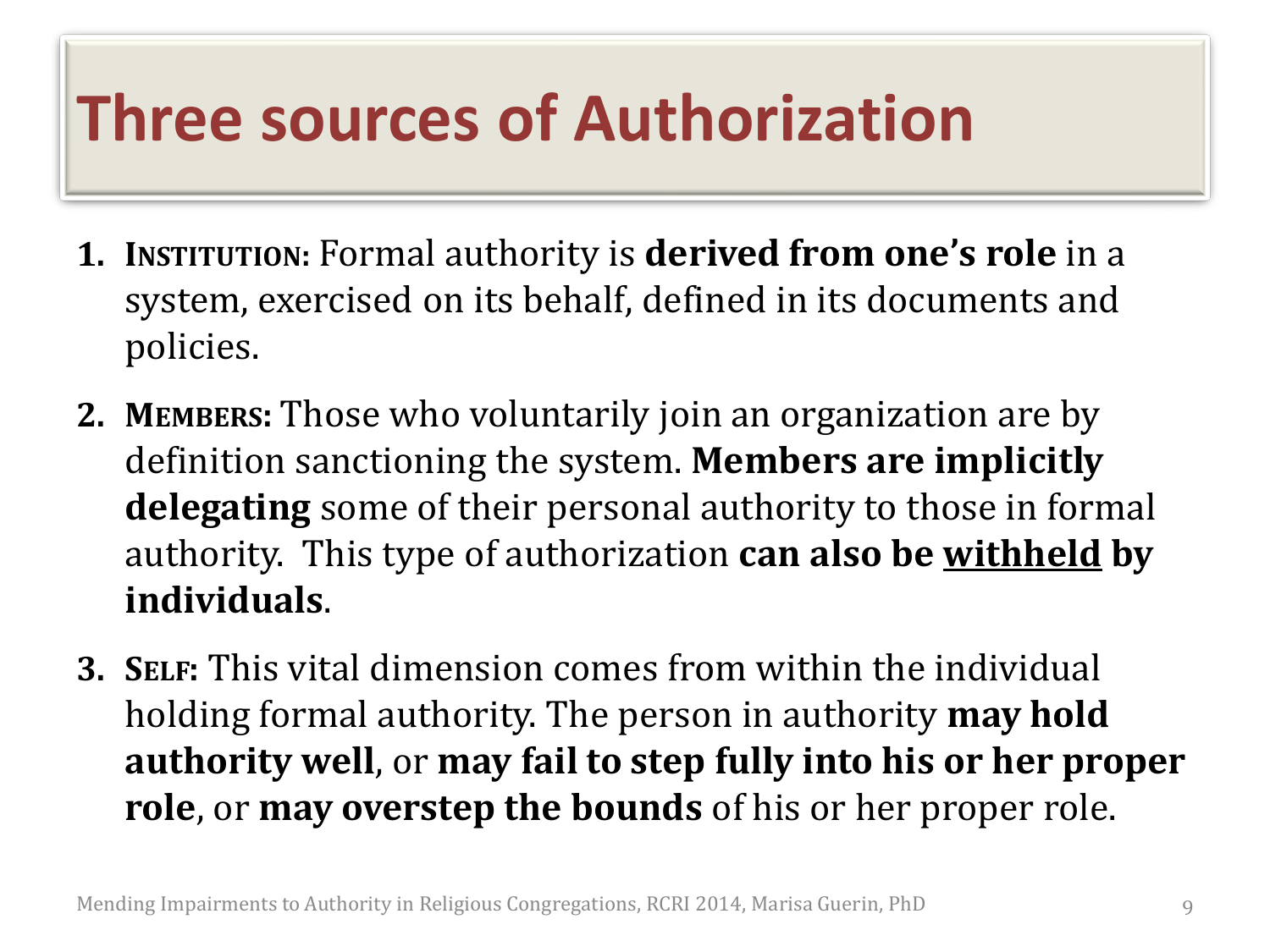### **Three sources of Authorization**

- **1. INSTITUTION:** Formal authority is **derived from one's role** in a system, exercised on its behalf, defined in its documents and policies.
- **2. MEMBERS:** Those who voluntarily join an organization are by definition sanctioning the system. **Members are implicitly delegating** some of their personal authority to those in formal authority. This type of authorization **can also be withheld by individuals**.
- **3. SELF:** This vital dimension comes from within the individual holding formal authority. The person in authority **may hold authority well**, or **may fail to step fully into his or her proper role**, or **may overstep the bounds** of his or her proper role.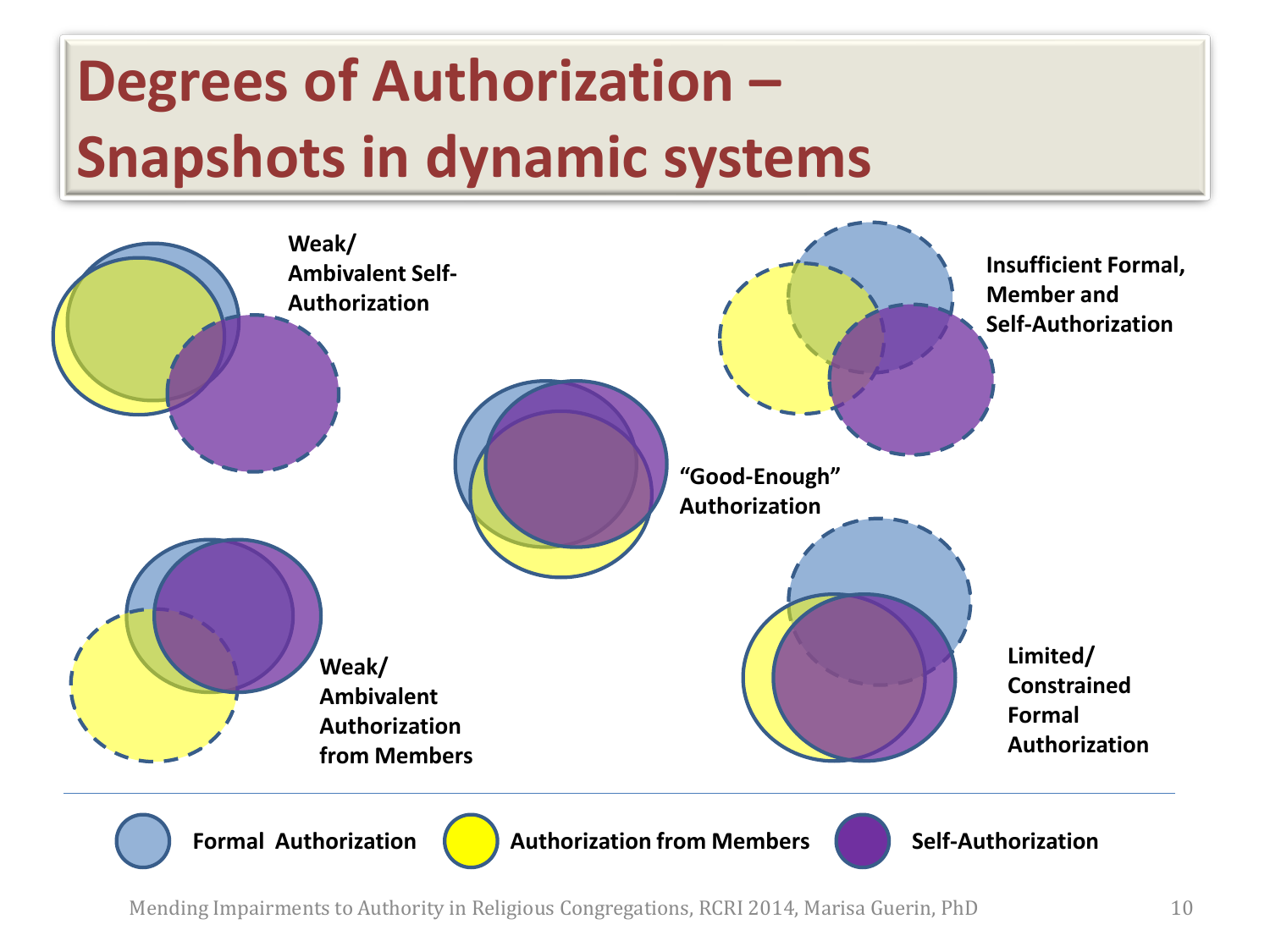

Mending Impairments to Authority in Religious Congregations, RCRI 2014, Marisa Guerin, PhD 10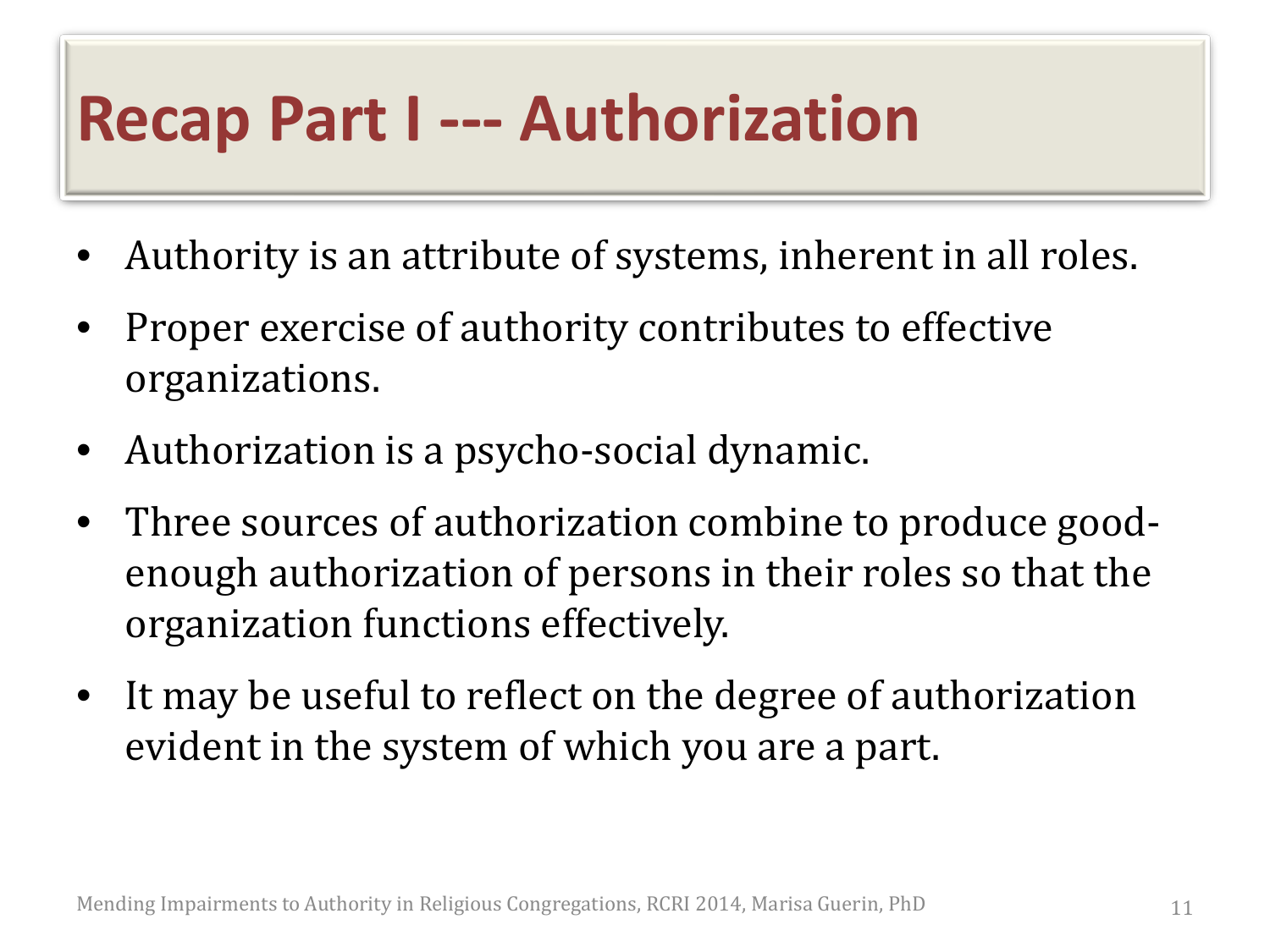### **Recap Part I --- Authorization**

- Authority is an attribute of systems, inherent in all roles.
- Proper exercise of authority contributes to effective organizations.
- Authorization is a psycho-social dynamic.
- Three sources of authorization combine to produce goodenough authorization of persons in their roles so that the organization functions effectively.
- It may be useful to reflect on the degree of authorization evident in the system of which you are a part.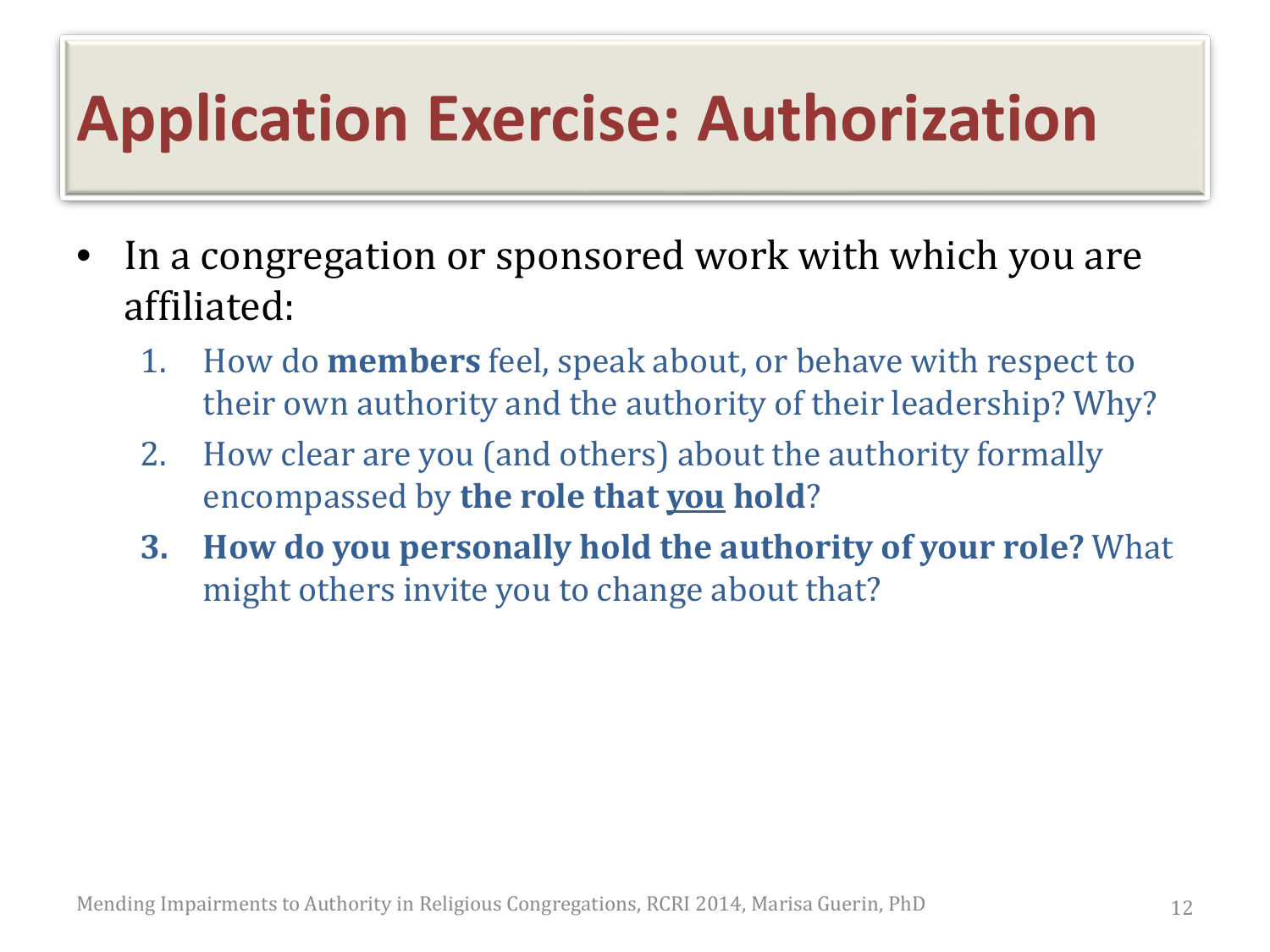### **Application Exercise: Authorization**

- In a congregation or sponsored work with which you are affiliated:
	- 1. How do **members** feel, speak about, or behave with respect to their own authority and the authority of their leadership? Why?
	- 2. How clear are you (and others) about the authority formally encompassed by **the role that you hold**?
	- **3. How do you personally hold the authority of your role?** What might others invite you to change about that?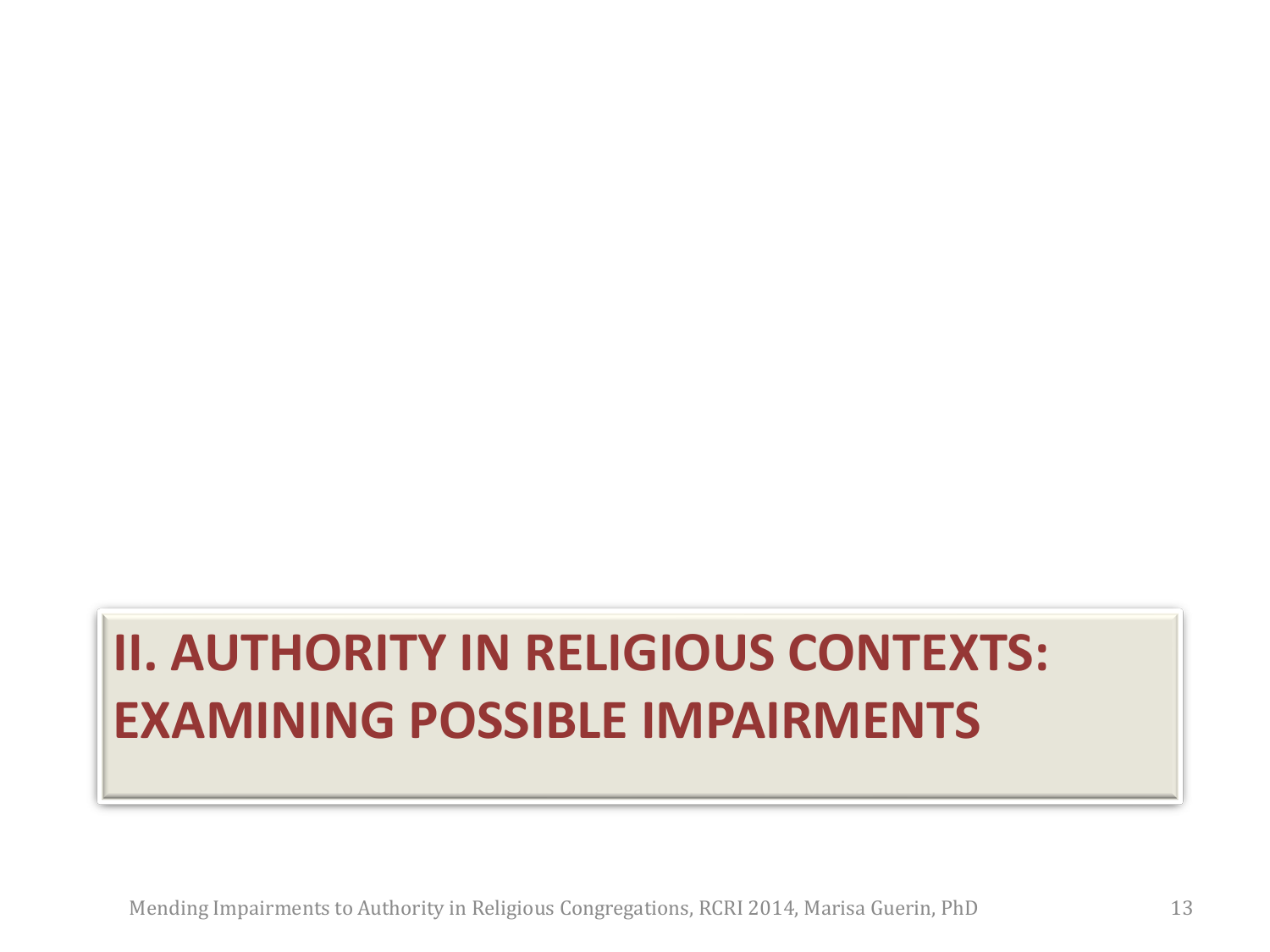#### **II. AUTHORITY IN RELIGIOUS CONTEXTS: EXAMINING POSSIBLE IMPAIRMENTS**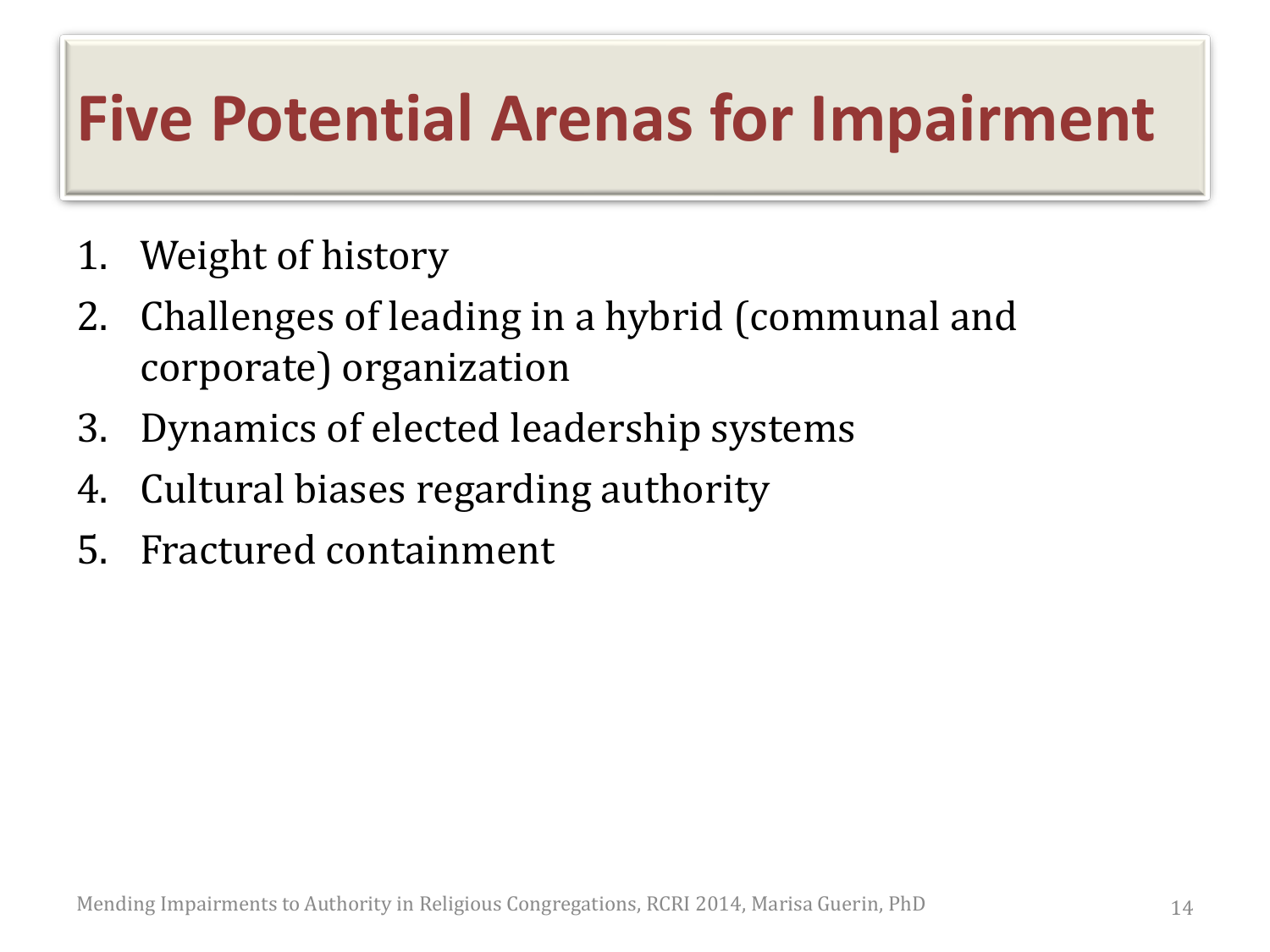### **Five Potential Arenas for Impairment**

- 1. Weight of history
- 2. Challenges of leading in a hybrid (communal and corporate) organization
- 3. Dynamics of elected leadership systems
- 4. Cultural biases regarding authority
- 5. Fractured containment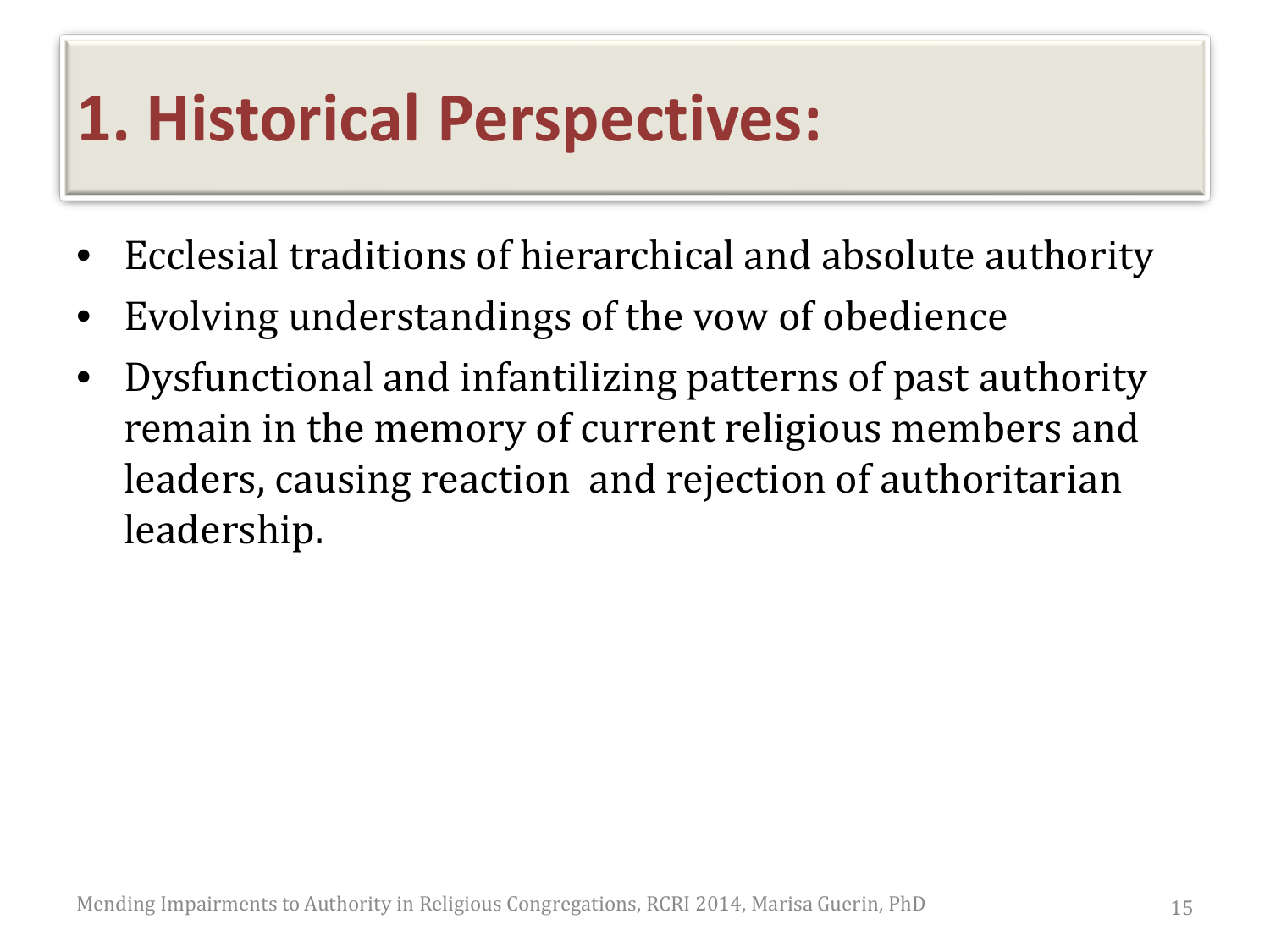### **1. Historical Perspectives:**

- Ecclesial traditions of hierarchical and absolute authority
- Evolving understandings of the vow of obedience
- Dysfunctional and infantilizing patterns of past authority remain in the memory of current religious members and leaders, causing reaction and rejection of authoritarian leadership.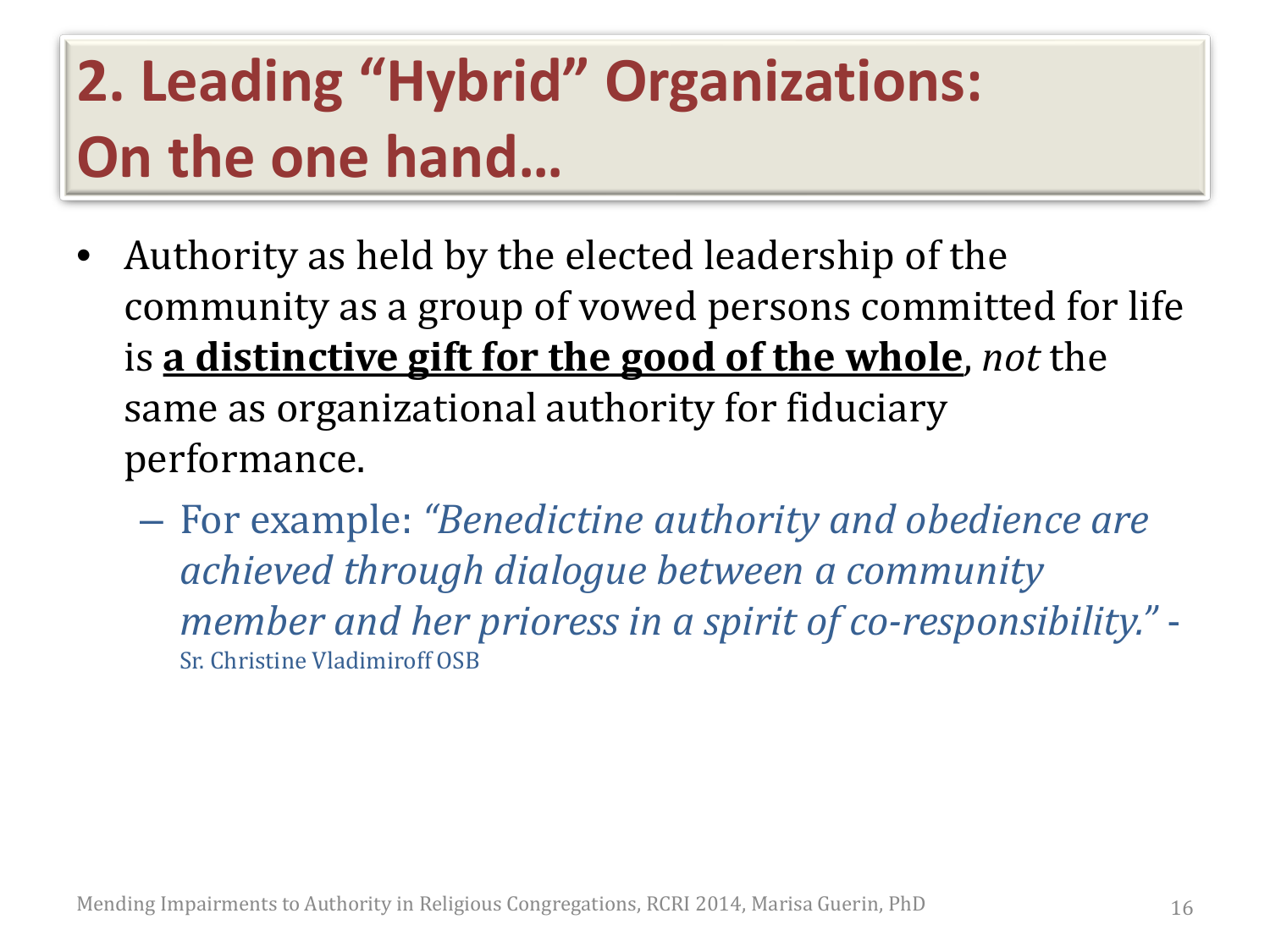### **2. Leading "Hybrid" Organizations: On the one hand…**

- Authority as held by the elected leadership of the community as a group of vowed persons committed for life is **a distinctive gift for the good of the whole**, *not* the same as organizational authority for fiduciary performance.
	- For example: *"Benedictine authority and obedience are achieved through dialogue between a community member and her prioress in a spirit of co-responsibility."* - Sr. Christine Vladimiroff OSB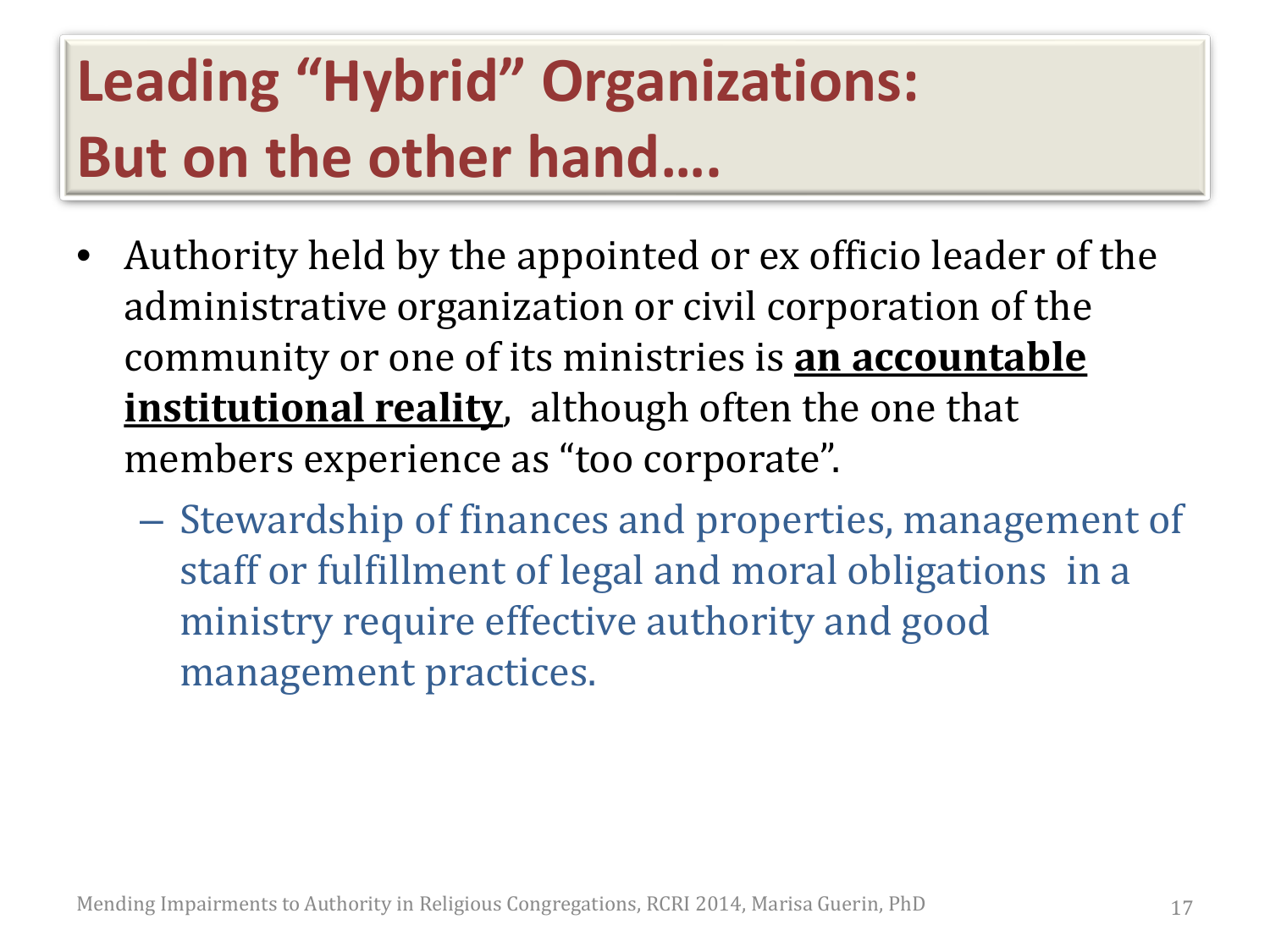#### **Leading "Hybrid" Organizations: But on the other hand….**

- Authority held by the appointed or ex officio leader of the administrative organization or civil corporation of the community or one of its ministries is **an accountable institutional reality**, although often the one that members experience as "too corporate".
	- Stewardship of finances and properties, management of staff or fulfillment of legal and moral obligations in a ministry require effective authority and good management practices.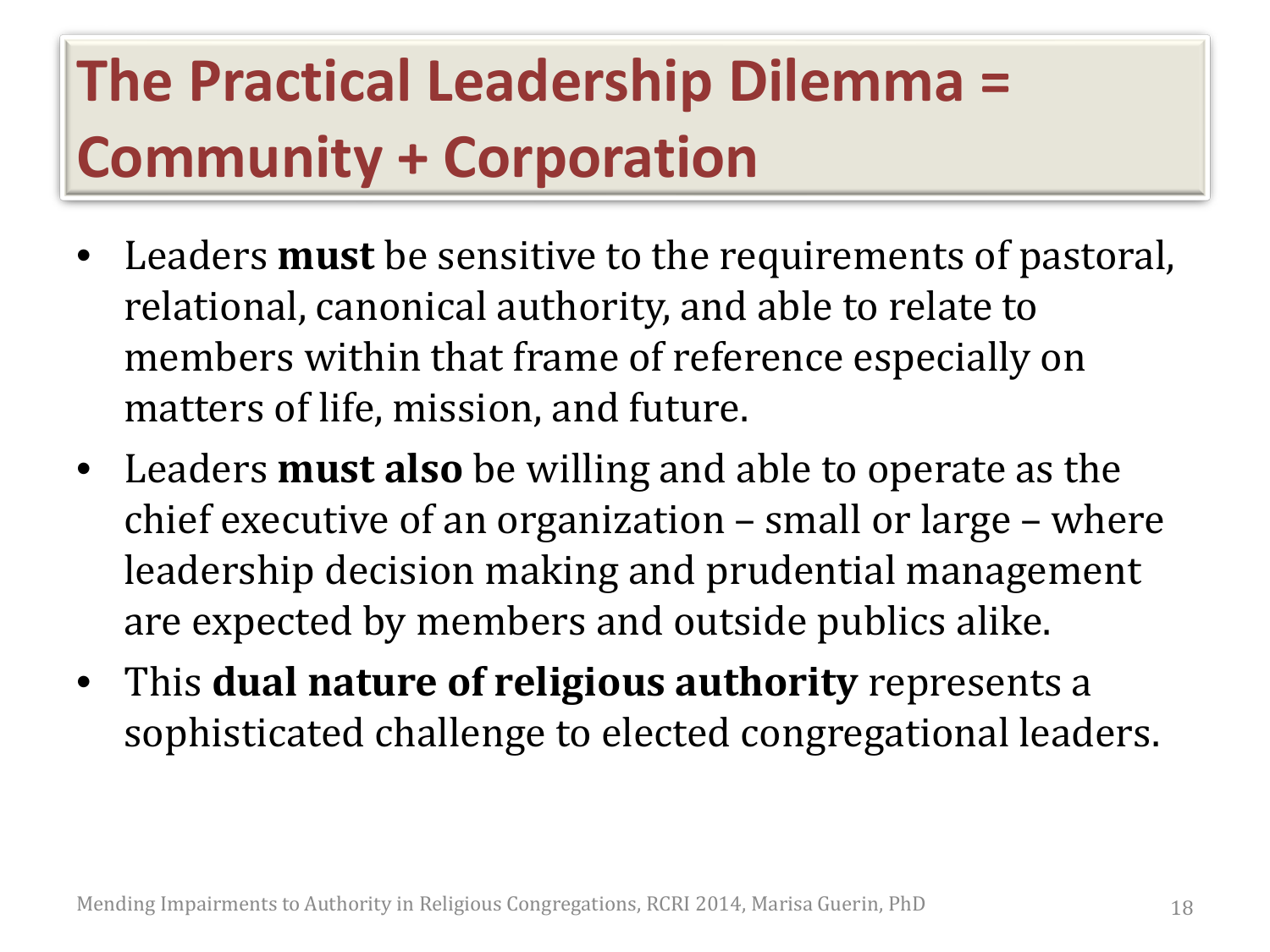#### **The Practical Leadership Dilemma = Community + Corporation**

- Leaders **must** be sensitive to the requirements of pastoral, relational, canonical authority, and able to relate to members within that frame of reference especially on matters of life, mission, and future.
- Leaders **must also** be willing and able to operate as the chief executive of an organization – small or large – where leadership decision making and prudential management are expected by members and outside publics alike.
- This **dual nature of religious authority** represents a sophisticated challenge to elected congregational leaders.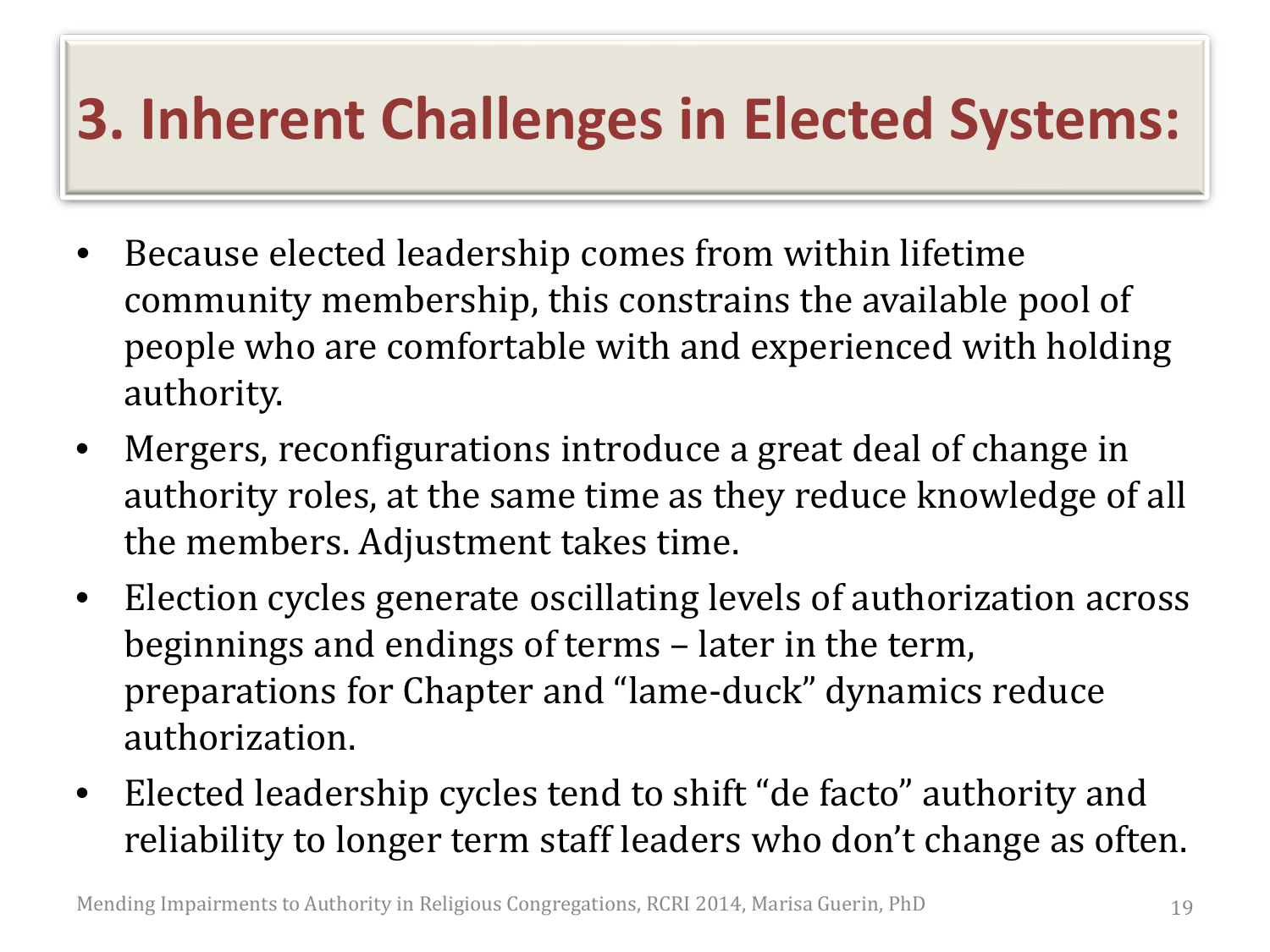#### **3. Inherent Challenges in Elected Systems:**

- Because elected leadership comes from within lifetime community membership, this constrains the available pool of people who are comfortable with and experienced with holding authority.
- Mergers, reconfigurations introduce a great deal of change in authority roles, at the same time as they reduce knowledge of all the members. Adjustment takes time.
- Election cycles generate oscillating levels of authorization across beginnings and endings of terms – later in the term, preparations for Chapter and "lame-duck" dynamics reduce authorization.
- Elected leadership cycles tend to shift "de facto" authority and reliability to longer term staff leaders who don't change as often.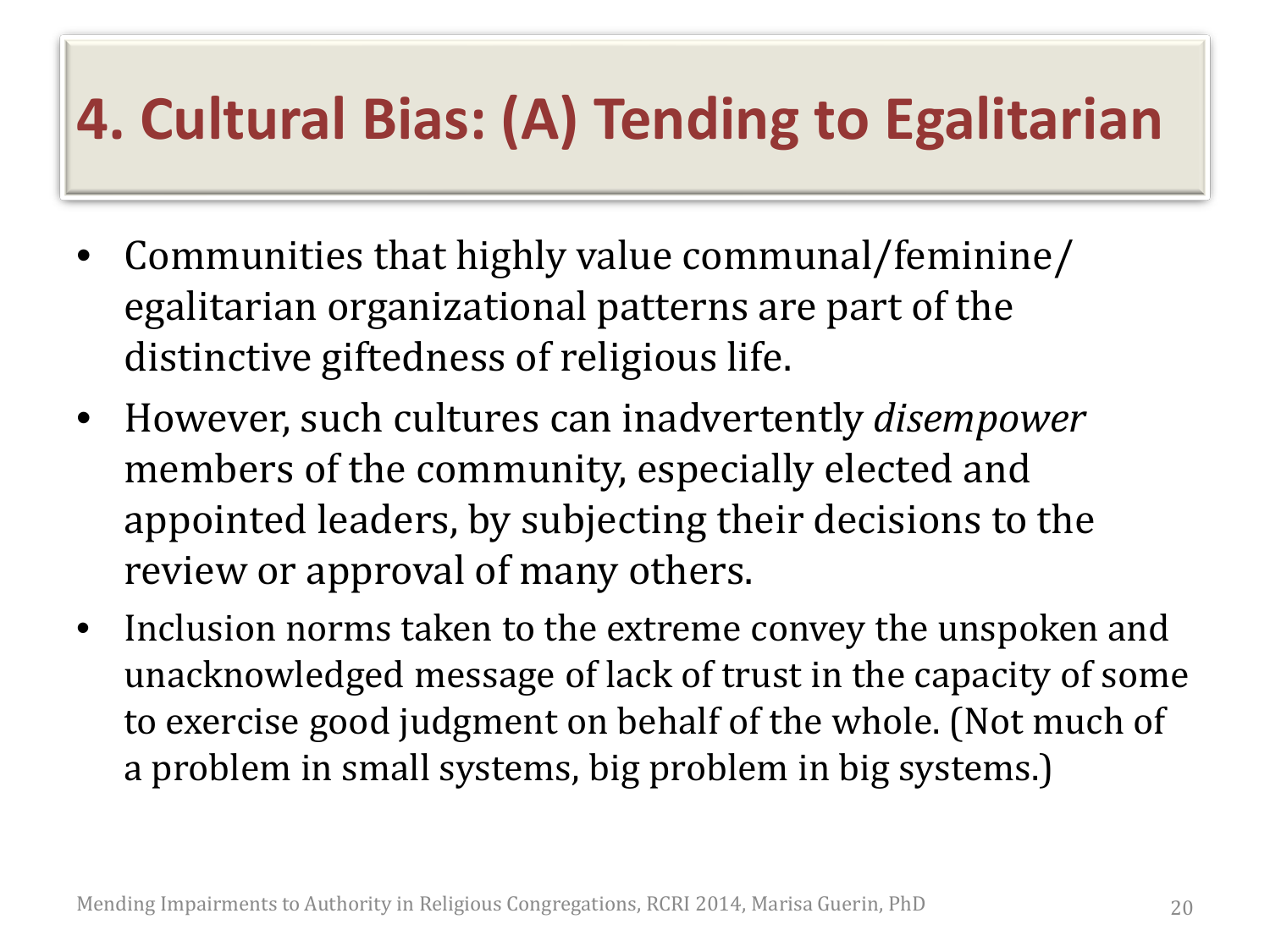#### **4. Cultural Bias: (A) Tending to Egalitarian**

- Communities that highly value communal/feminine/ egalitarian organizational patterns are part of the distinctive giftedness of religious life.
- However, such cultures can inadvertently *disempower* members of the community, especially elected and appointed leaders, by subjecting their decisions to the review or approval of many others.
- Inclusion norms taken to the extreme convey the unspoken and unacknowledged message of lack of trust in the capacity of some to exercise good judgment on behalf of the whole. (Not much of a problem in small systems, big problem in big systems.)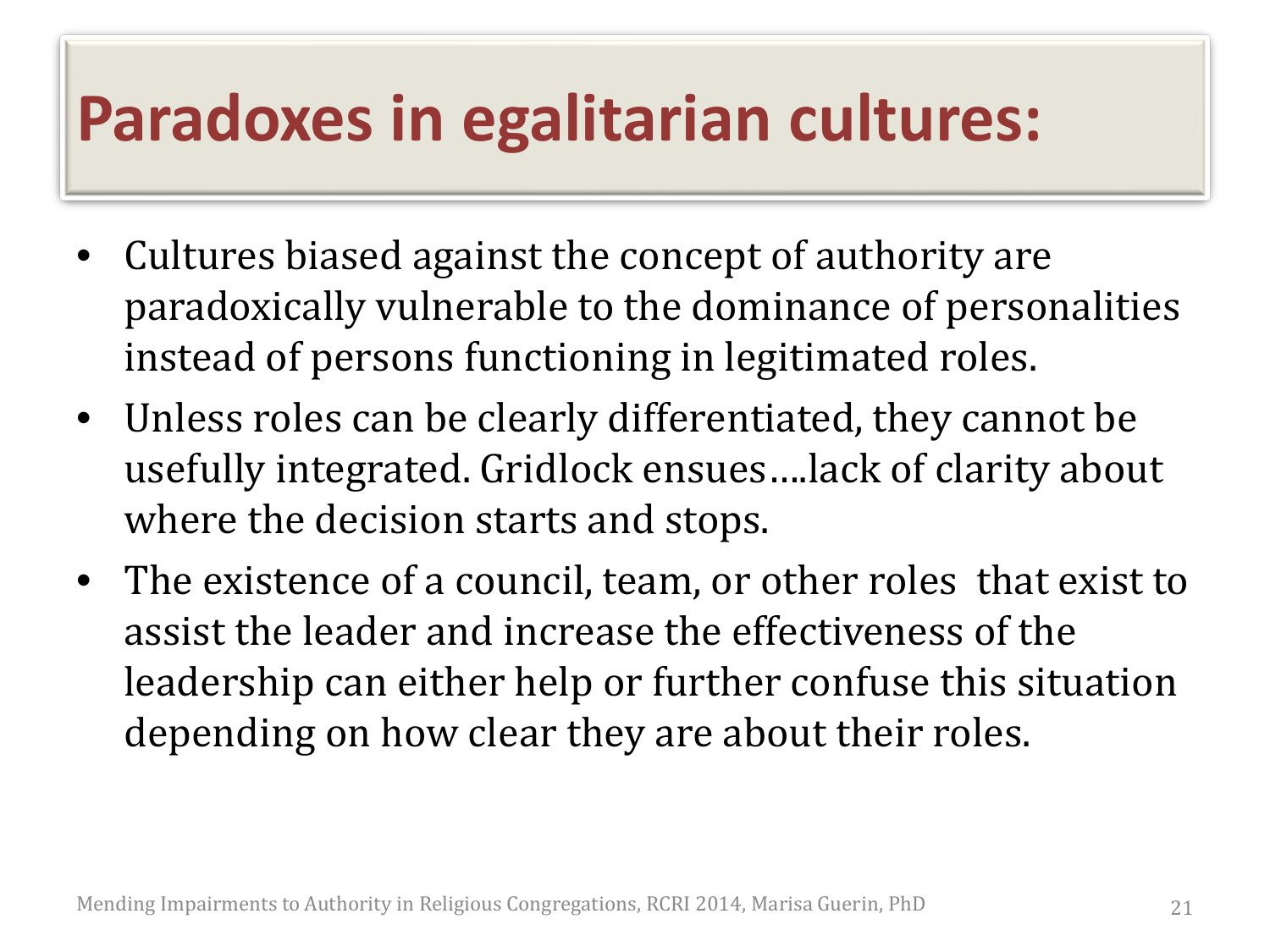#### **Paradoxes in egalitarian cultures:**

- Cultures biased against the concept of authority are paradoxically vulnerable to the dominance of personalities instead of persons functioning in legitimated roles.
- Unless roles can be clearly differentiated, they cannot be usefully integrated. Gridlock ensues….lack of clarity about where the decision starts and stops.
- The existence of a council, team, or other roles that exist to assist the leader and increase the effectiveness of the leadership can either help or further confuse this situation depending on how clear they are about their roles.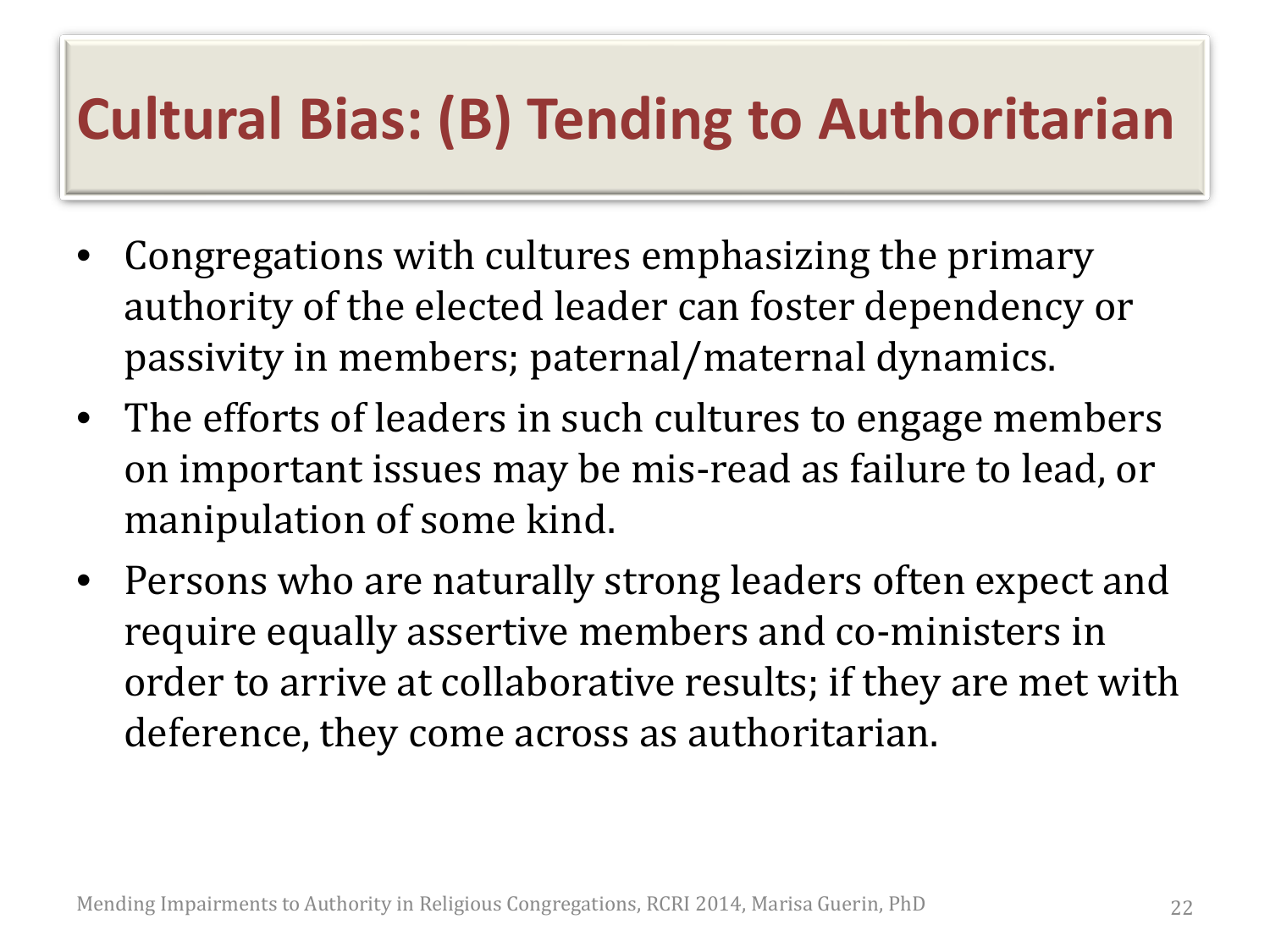#### **Cultural Bias: (B) Tending to Authoritarian**

- Congregations with cultures emphasizing the primary authority of the elected leader can foster dependency or passivity in members; paternal/maternal dynamics.
- The efforts of leaders in such cultures to engage members on important issues may be mis-read as failure to lead, or manipulation of some kind.
- Persons who are naturally strong leaders often expect and require equally assertive members and co-ministers in order to arrive at collaborative results; if they are met with deference, they come across as authoritarian.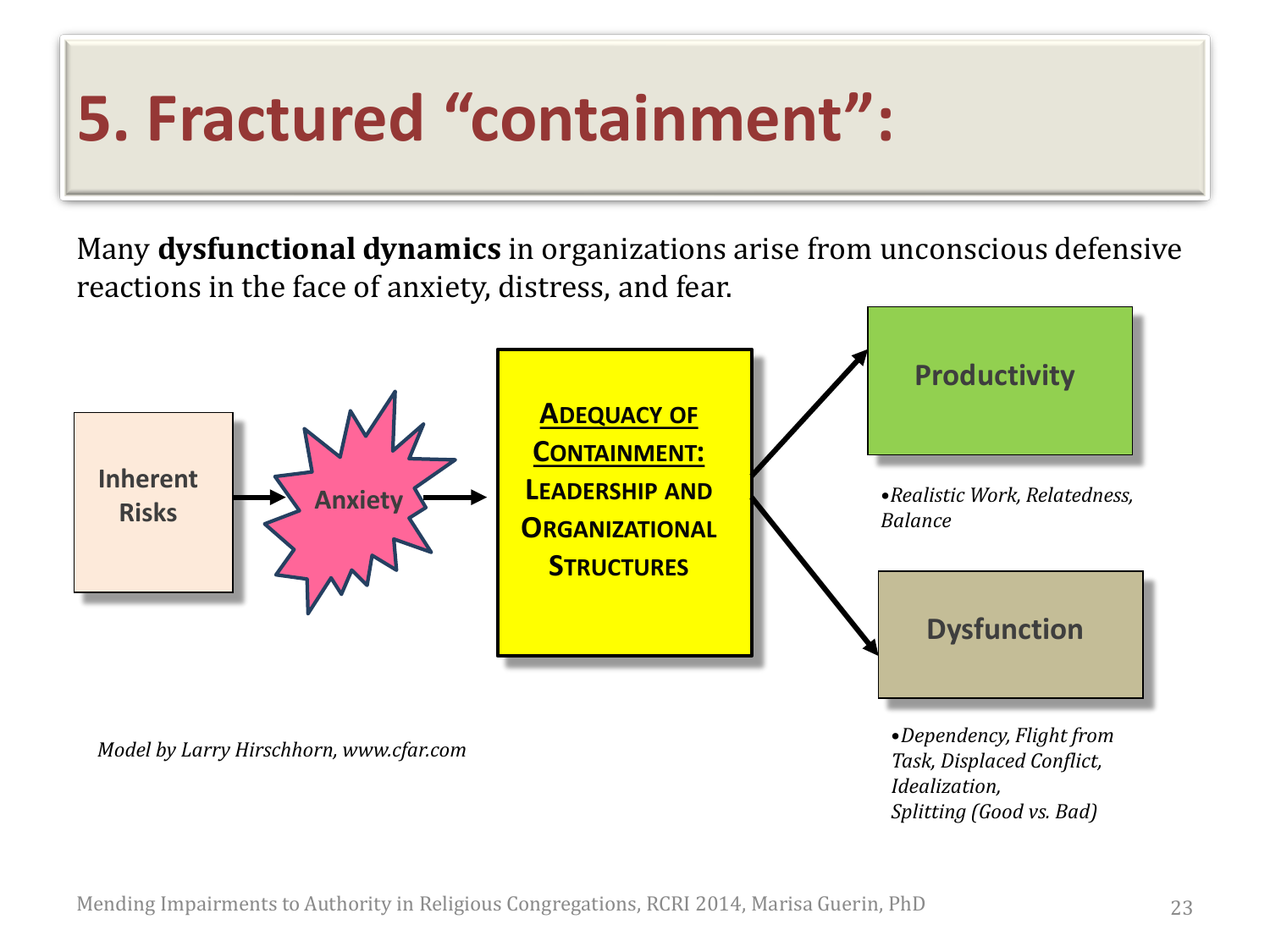## **5. Fractured "containment":**

Many **dysfunctional dynamics** in organizations arise from unconscious defensive reactions in the face of anxiety, distress, and fear.



Mending Impairments to Authority in Religious Congregations, RCRI 2014, Marisa Guerin, PhD 23

*Splitting (Good vs. Bad)*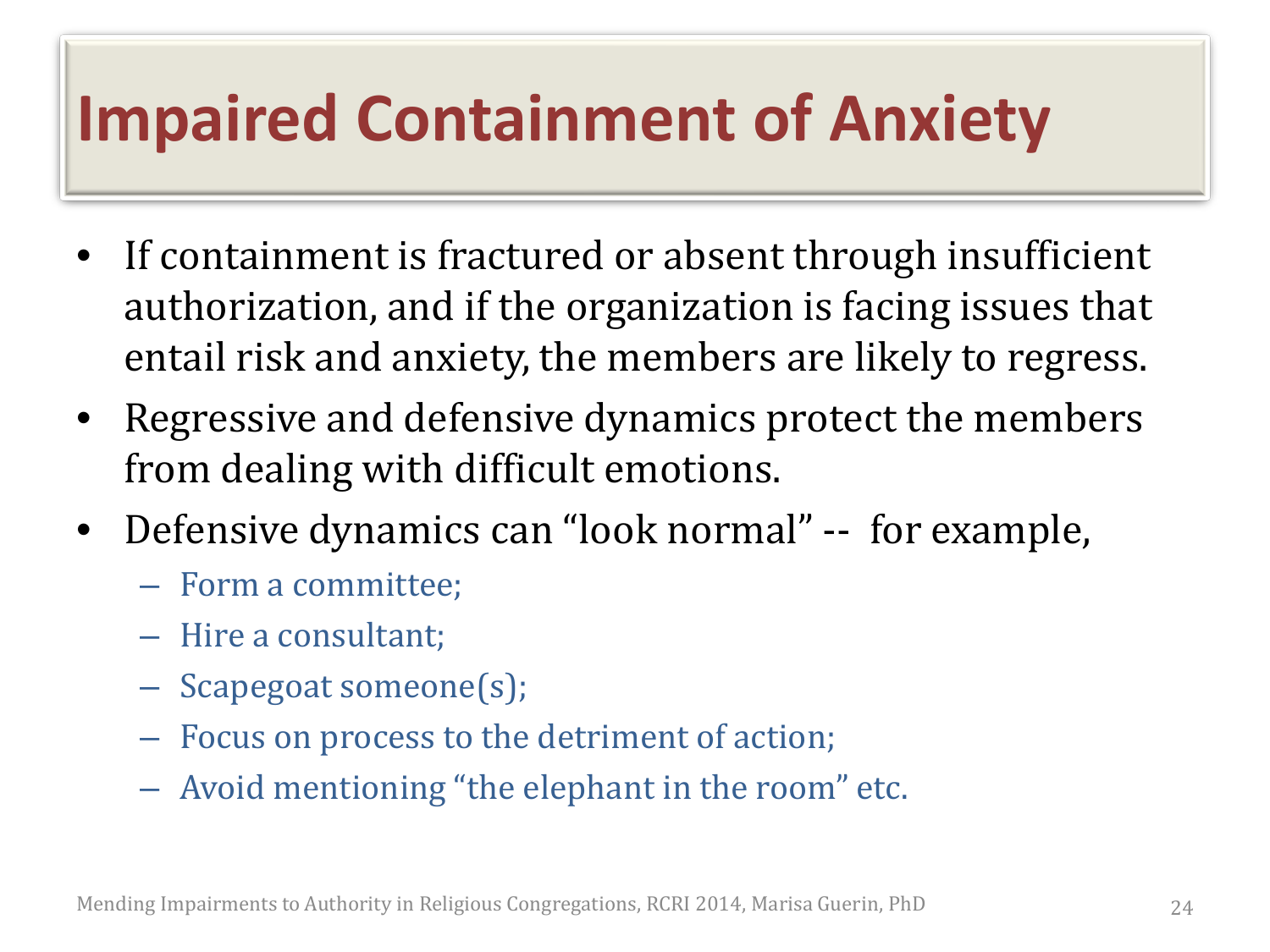### **Impaired Containment of Anxiety**

- If containment is fractured or absent through insufficient authorization, and if the organization is facing issues that entail risk and anxiety, the members are likely to regress.
- Regressive and defensive dynamics protect the members from dealing with difficult emotions.
- Defensive dynamics can "look normal" -- for example,
	- Form a committee;
	- Hire a consultant;
	- Scapegoat someone(s);
	- Focus on process to the detriment of action;
	- Avoid mentioning "the elephant in the room" etc.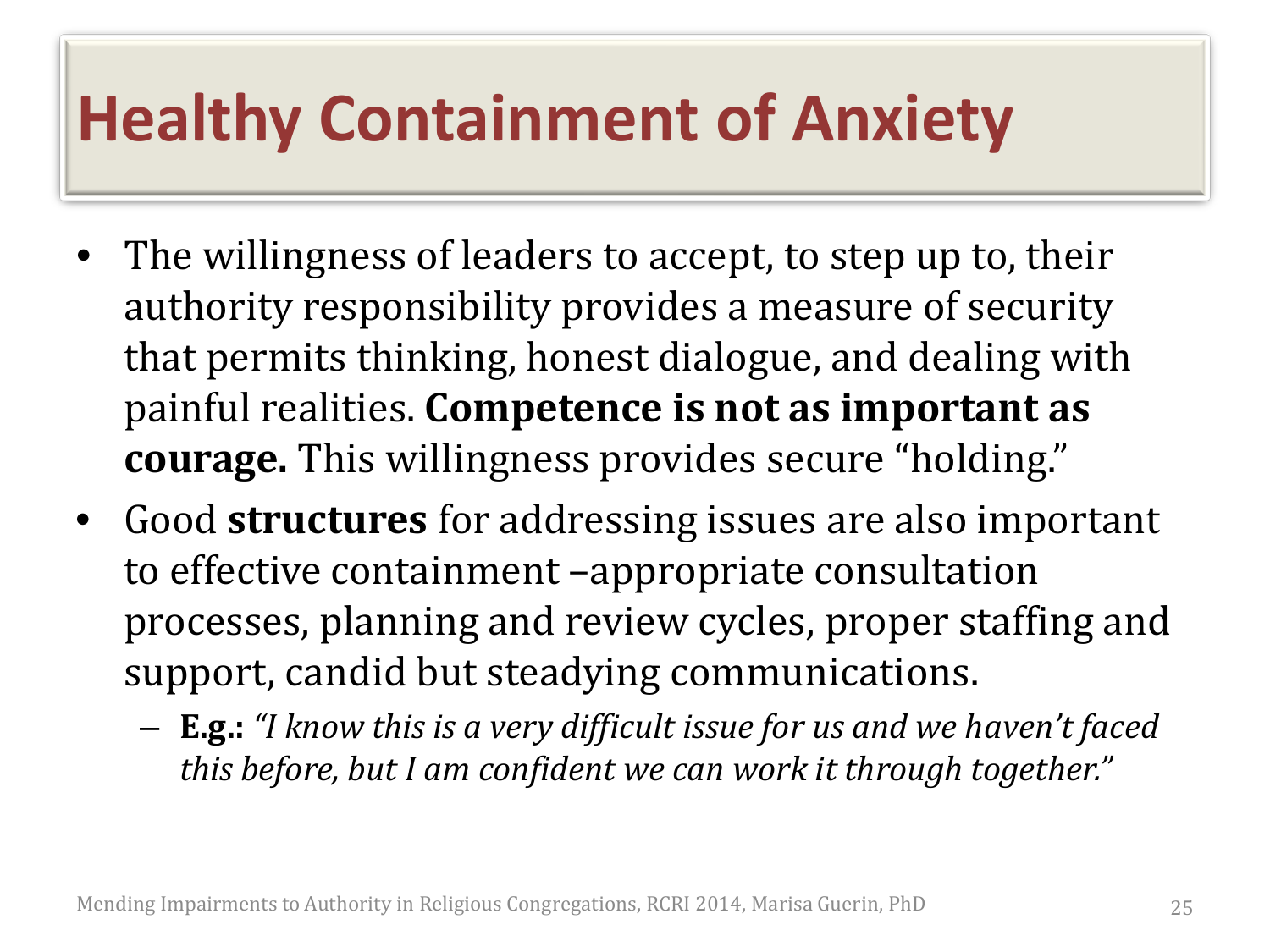### **Healthy Containment of Anxiety**

- The willingness of leaders to accept, to step up to, their authority responsibility provides a measure of security that permits thinking, honest dialogue, and dealing with painful realities. **Competence is not as important as courage.** This willingness provides secure "holding."
- Good **structures** for addressing issues are also important to effective containment –appropriate consultation processes, planning and review cycles, proper staffing and support, candid but steadying communications.
	- **E.g.:** *"I know this is a very difficult issue for us and we haven't faced this before, but I am confident we can work it through together."*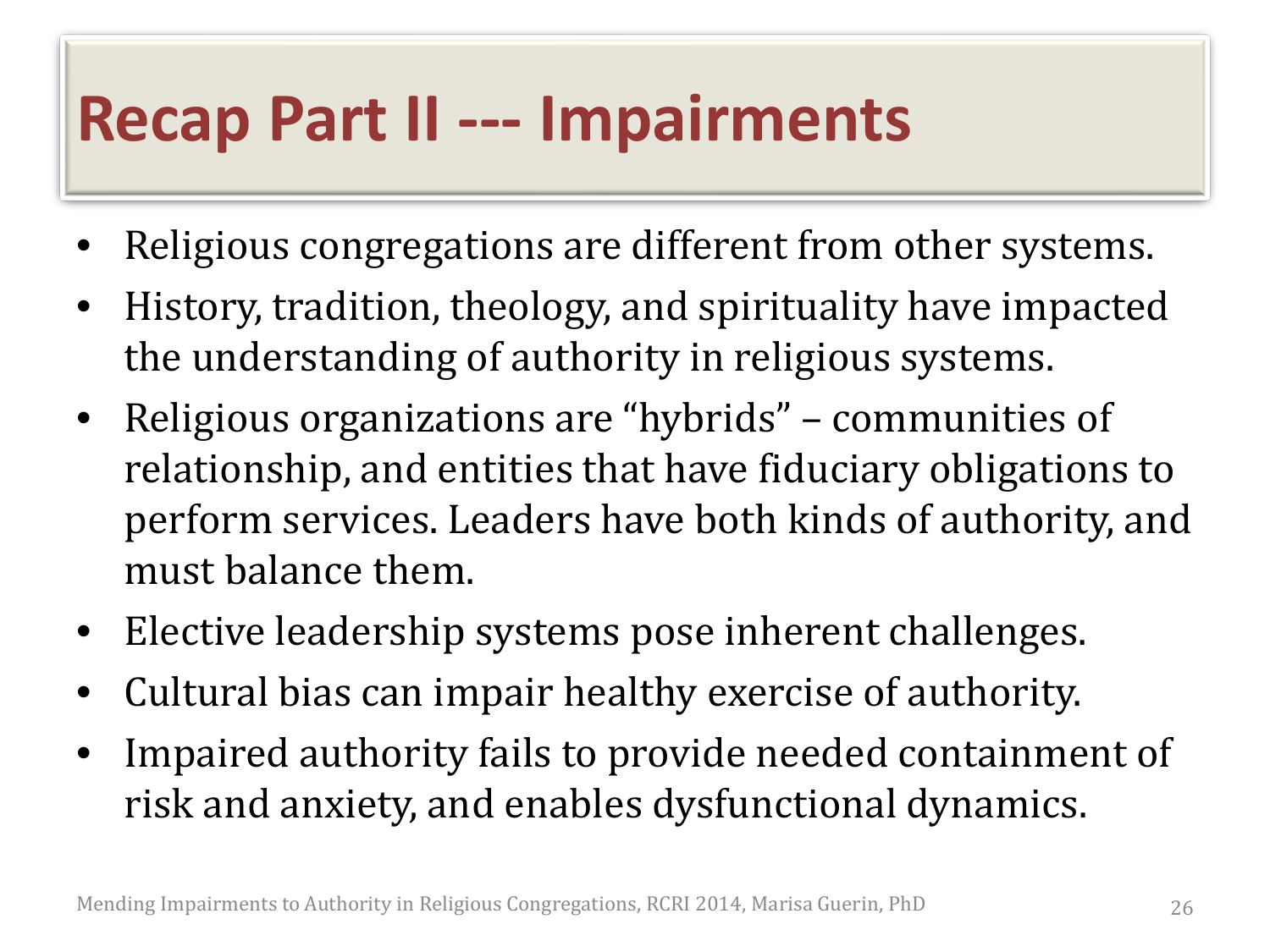#### **Recap Part II --- Impairments**

- Religious congregations are different from other systems.
- History, tradition, theology, and spirituality have impacted the understanding of authority in religious systems.
- Religious organizations are "hybrids" communities of relationship, and entities that have fiduciary obligations to perform services. Leaders have both kinds of authority, and must balance them.
- Elective leadership systems pose inherent challenges.
- Cultural bias can impair healthy exercise of authority.
- Impaired authority fails to provide needed containment of risk and anxiety, and enables dysfunctional dynamics.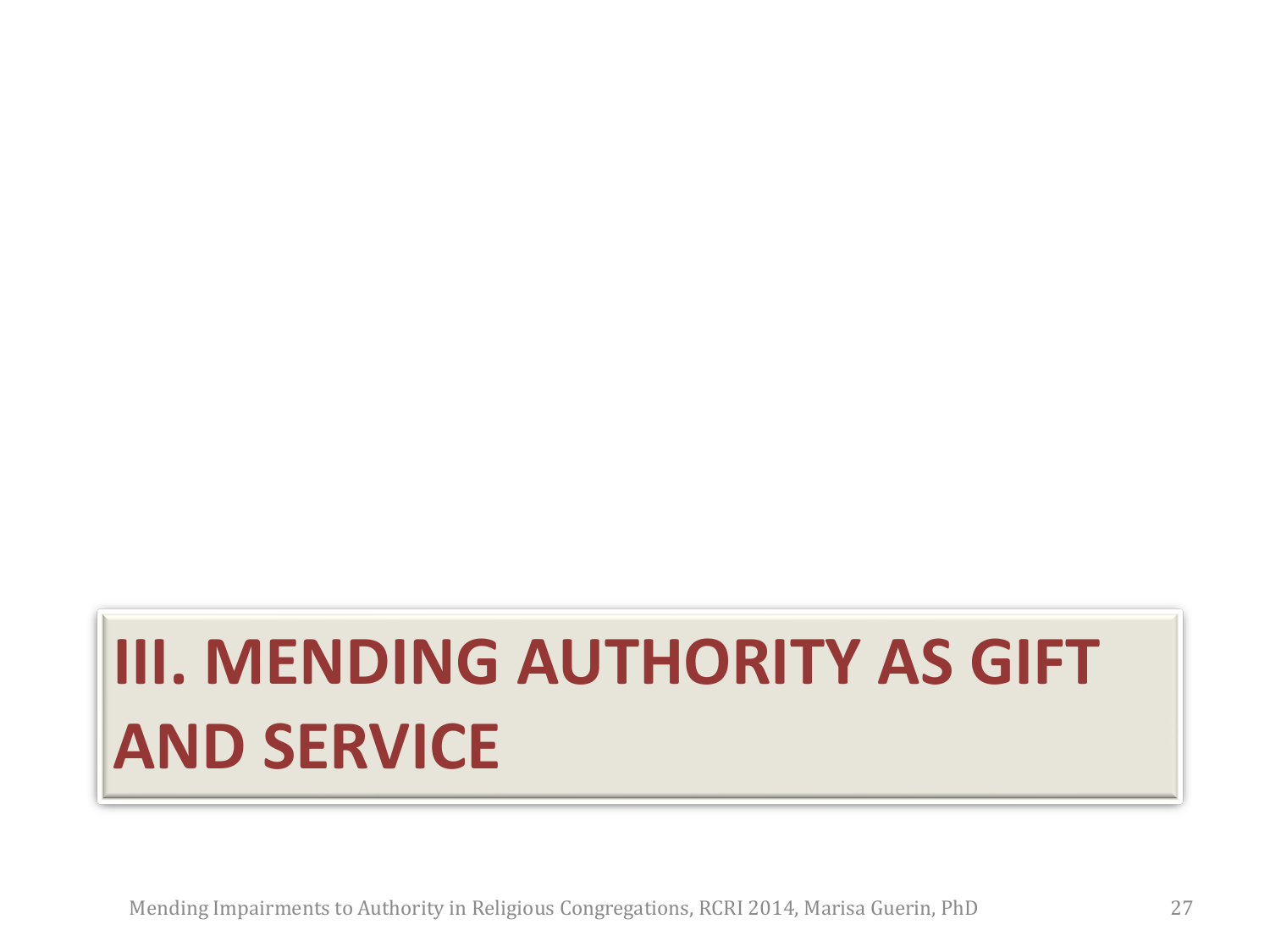# **III. MENDING AUTHORITY AS GIFT AND SERVICE**

Mending Impairments to Authority in Religious Congregations, RCRI 2014, Marisa Guerin, PhD 27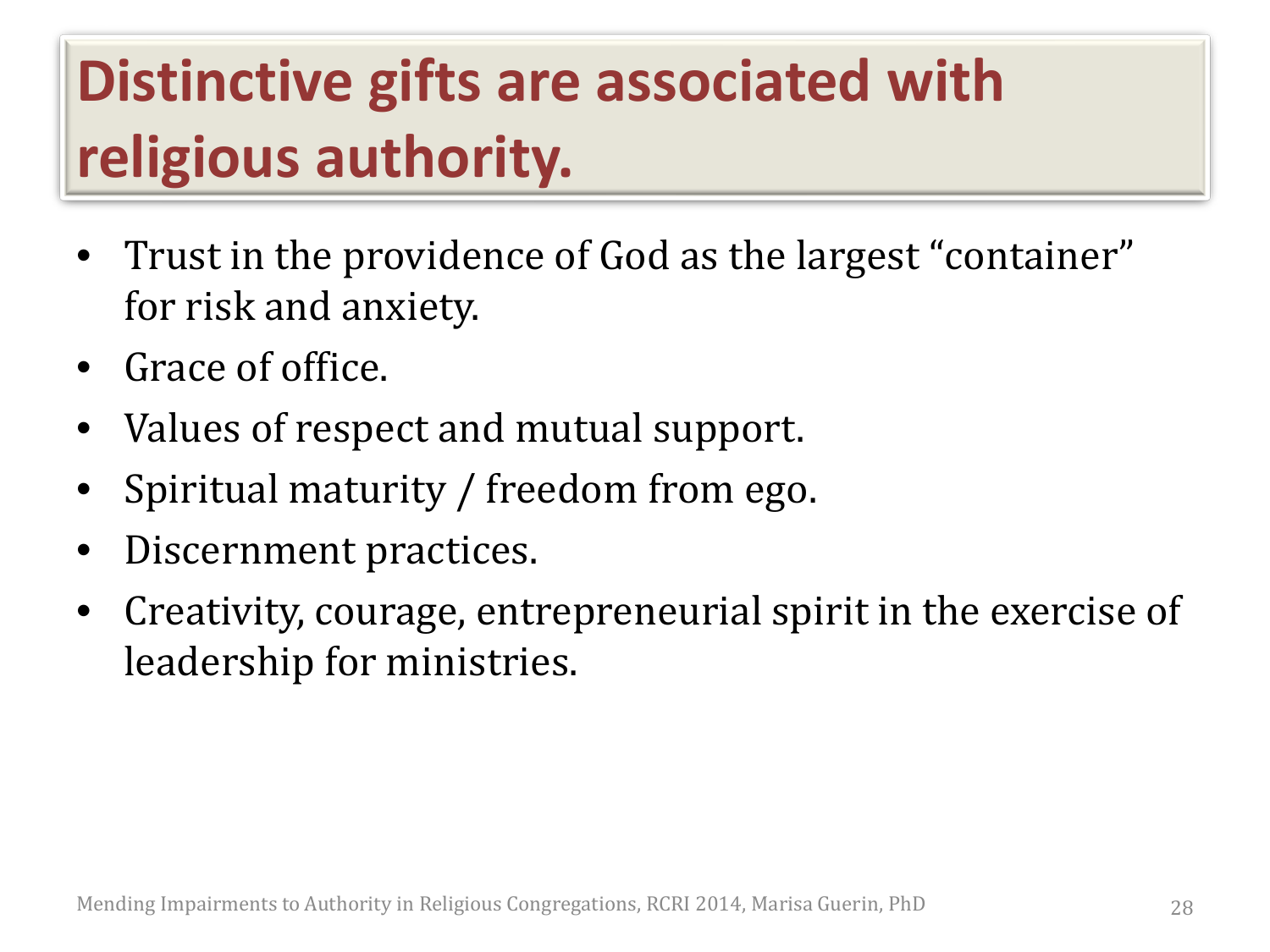### **Distinctive gifts are associated with religious authority.**

- Trust in the providence of God as the largest "container" for risk and anxiety.
- Grace of office.
- Values of respect and mutual support.
- Spiritual maturity / freedom from ego.
- Discernment practices.
- Creativity, courage, entrepreneurial spirit in the exercise of leadership for ministries.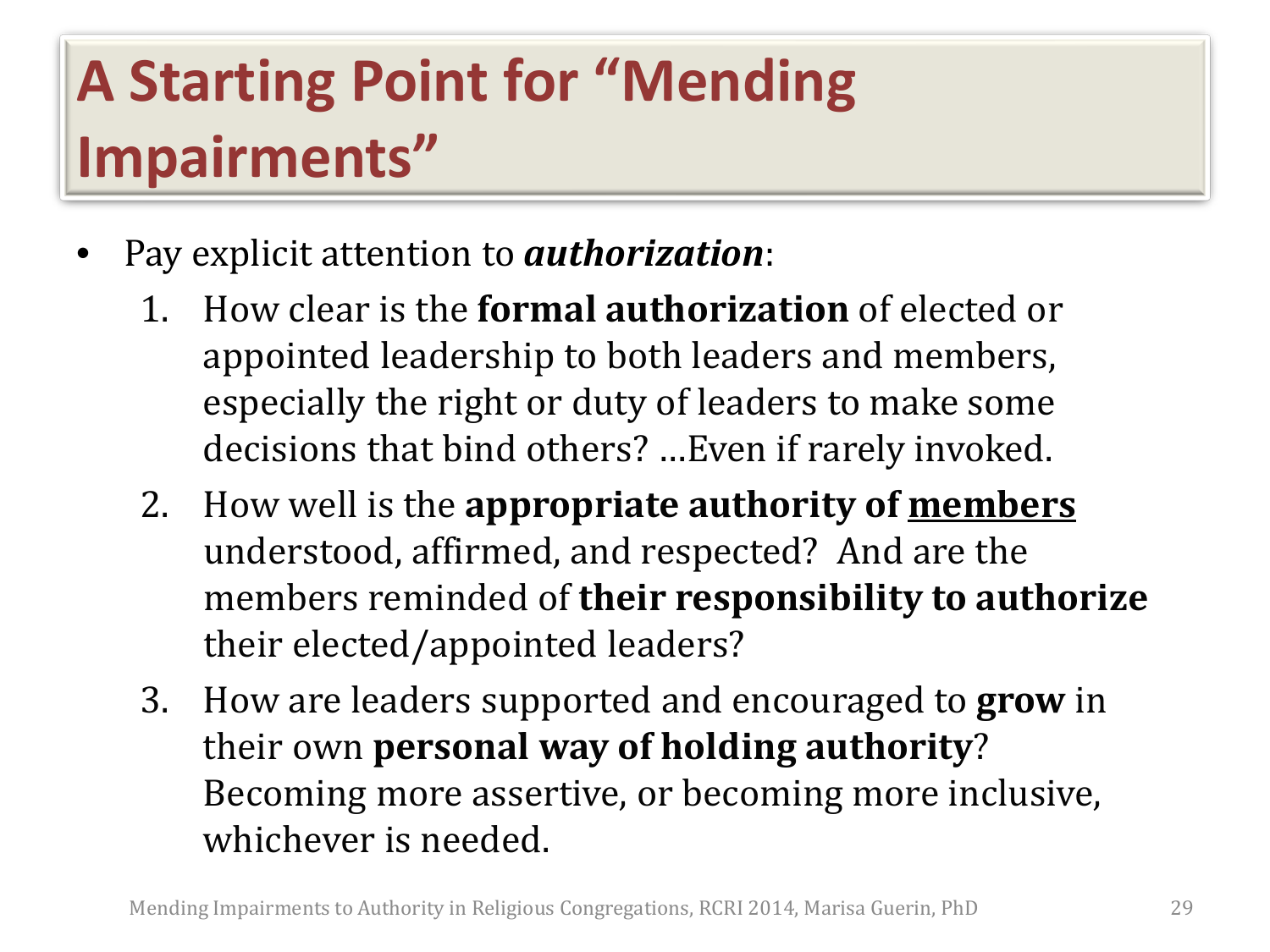### **A Starting Point for "Mending Impairments"**

- Pay explicit attention to *authorization*:
	- 1. How clear is the **formal authorization** of elected or appointed leadership to both leaders and members, especially the right or duty of leaders to make some decisions that bind others? …Even if rarely invoked.
	- 2. How well is the **appropriate authority of members** understood, affirmed, and respected? And are the members reminded of **their responsibility to authorize**  their elected/appointed leaders?
	- 3. How are leaders supported and encouraged to **grow** in their own **personal way of holding authority**? Becoming more assertive, or becoming more inclusive, whichever is needed.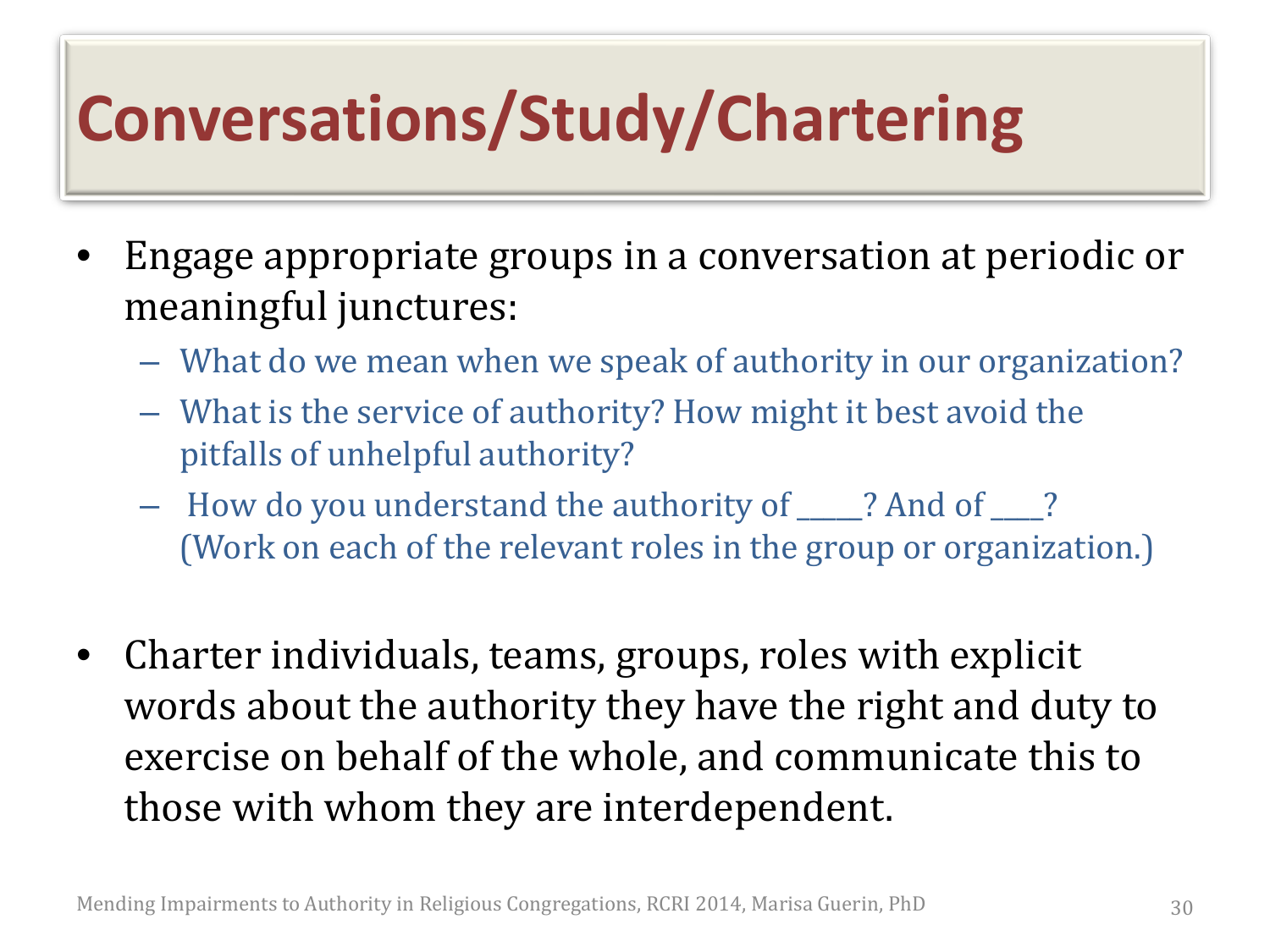# **Conversations/Study/Chartering**

- Engage appropriate groups in a conversation at periodic or meaningful junctures:
	- What do we mean when we speak of authority in our organization?
	- What is the service of authority? How might it best avoid the pitfalls of unhelpful authority?
	- How do you understand the authority of \_\_\_\_\_? And of \_\_\_\_? (Work on each of the relevant roles in the group or organization.)
- Charter individuals, teams, groups, roles with explicit words about the authority they have the right and duty to exercise on behalf of the whole, and communicate this to those with whom they are interdependent.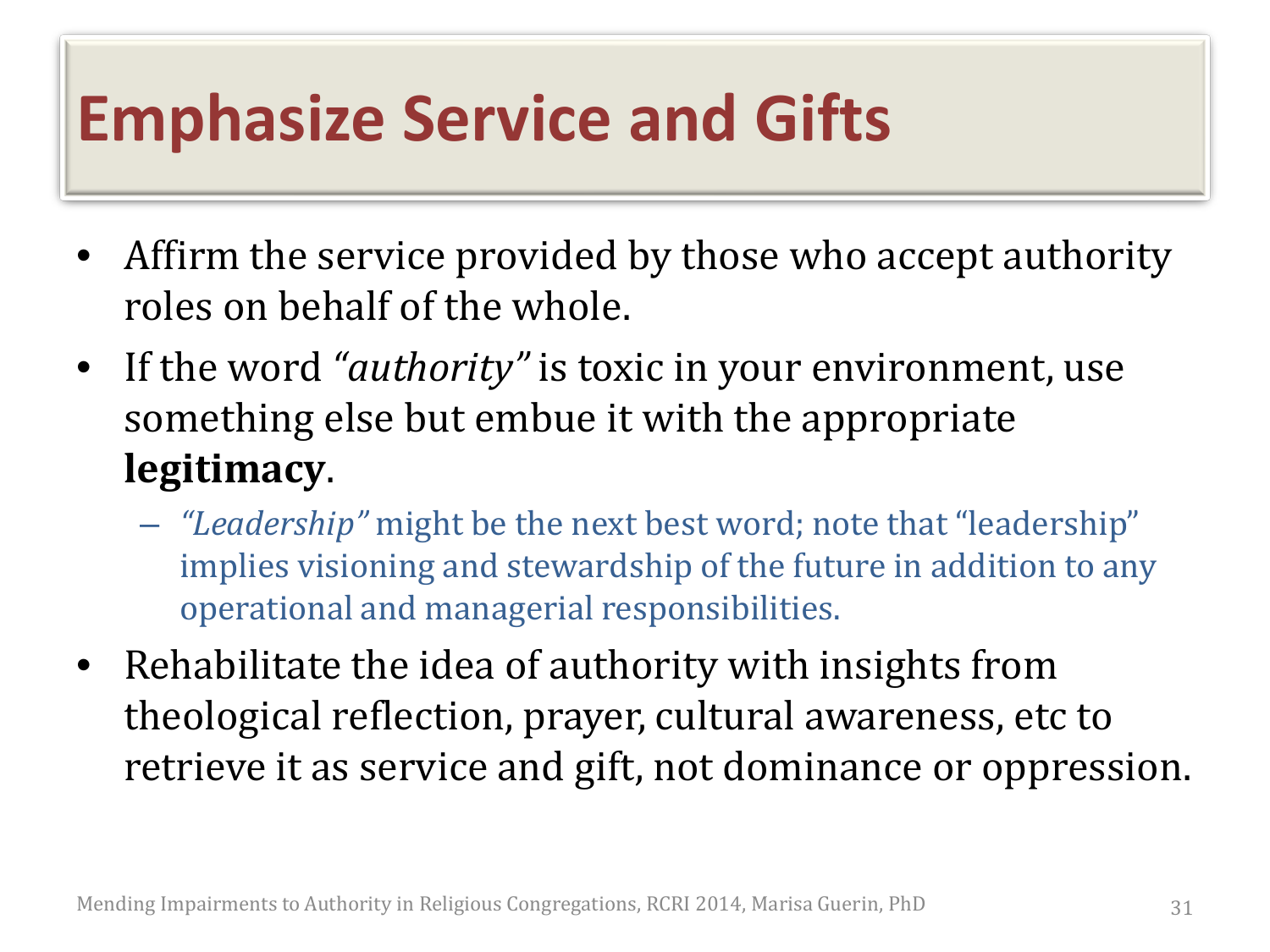#### **Emphasize Service and Gifts**

- Affirm the service provided by those who accept authority roles on behalf of the whole.
- If the word *"authority"* is toxic in your environment, use something else but embue it with the appropriate **legitimacy**.
	- *"Leadership"* might be the next best word; note that "leadership" implies visioning and stewardship of the future in addition to any operational and managerial responsibilities.
- Rehabilitate the idea of authority with insights from theological reflection, prayer, cultural awareness, etc to retrieve it as service and gift, not dominance or oppression.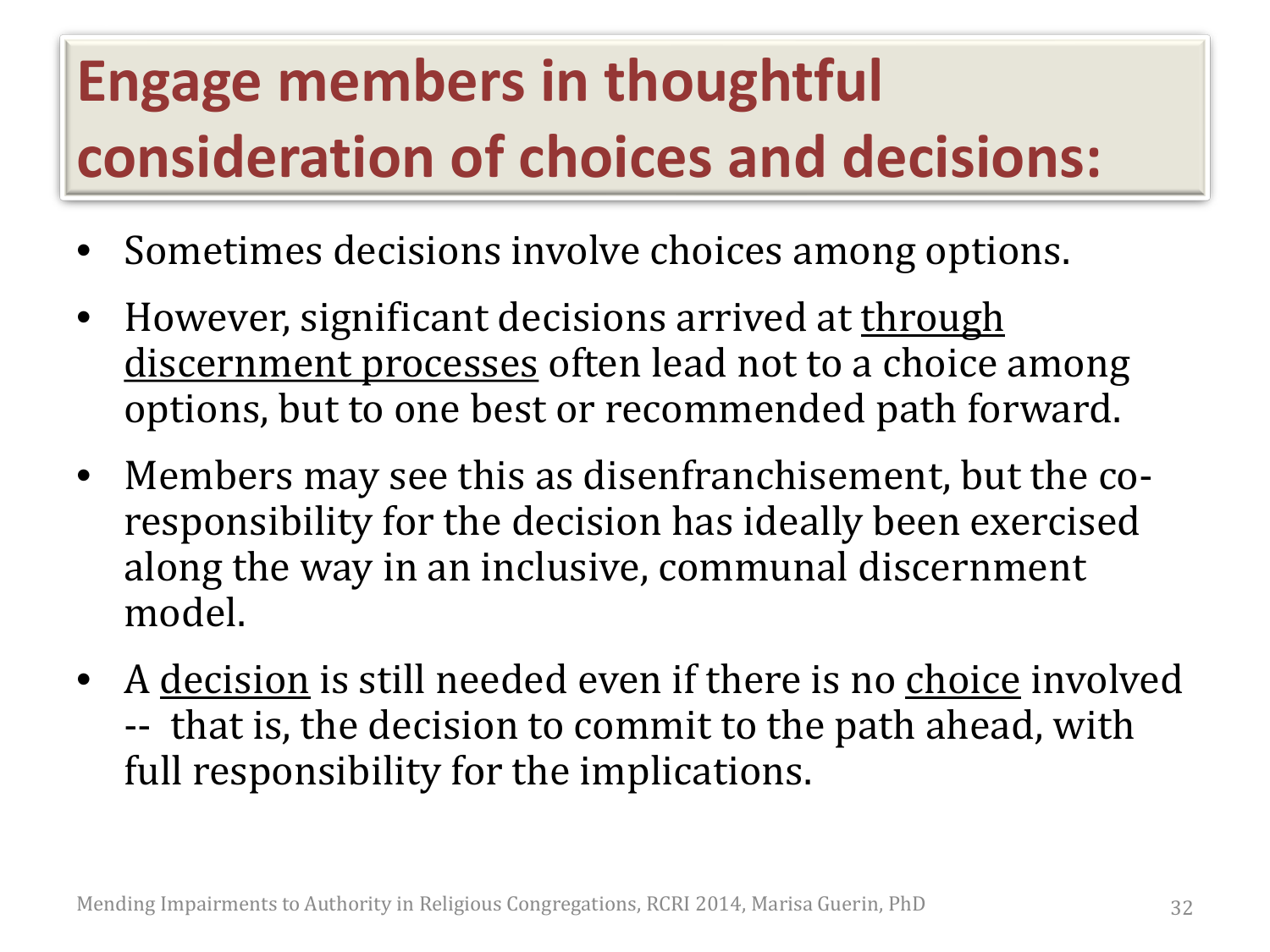### **Engage members in thoughtful consideration of choices and decisions:**

- Sometimes decisions involve choices among options.
- However, significant decisions arrived at through discernment processes often lead not to a choice among options, but to one best or recommended path forward.
- Members may see this as disenfranchisement, but the coresponsibility for the decision has ideally been exercised along the way in an inclusive, communal discernment model.
- A decision is still needed even if there is no choice involved -- that is, the decision to commit to the path ahead, with full responsibility for the implications.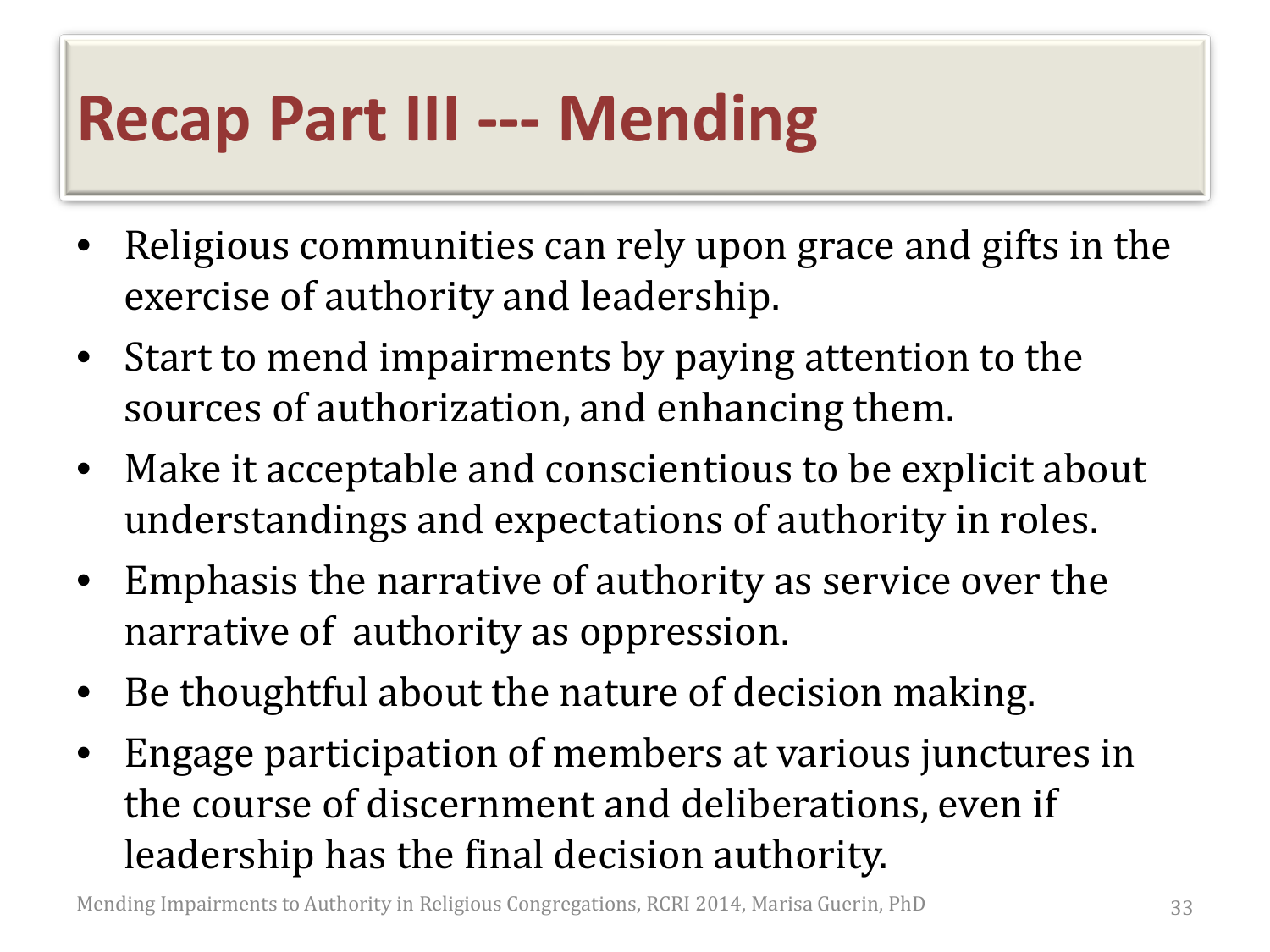#### **Recap Part III --- Mending**

- Religious communities can rely upon grace and gifts in the exercise of authority and leadership.
- Start to mend impairments by paying attention to the sources of authorization, and enhancing them.
- Make it acceptable and conscientious to be explicit about understandings and expectations of authority in roles.
- Emphasis the narrative of authority as service over the narrative of authority as oppression.
- Be thoughtful about the nature of decision making.
- Engage participation of members at various junctures in the course of discernment and deliberations, even if leadership has the final decision authority.

Mending Impairments to Authority in Religious Congregations, RCRI 2014, Marisa Guerin, PhD 33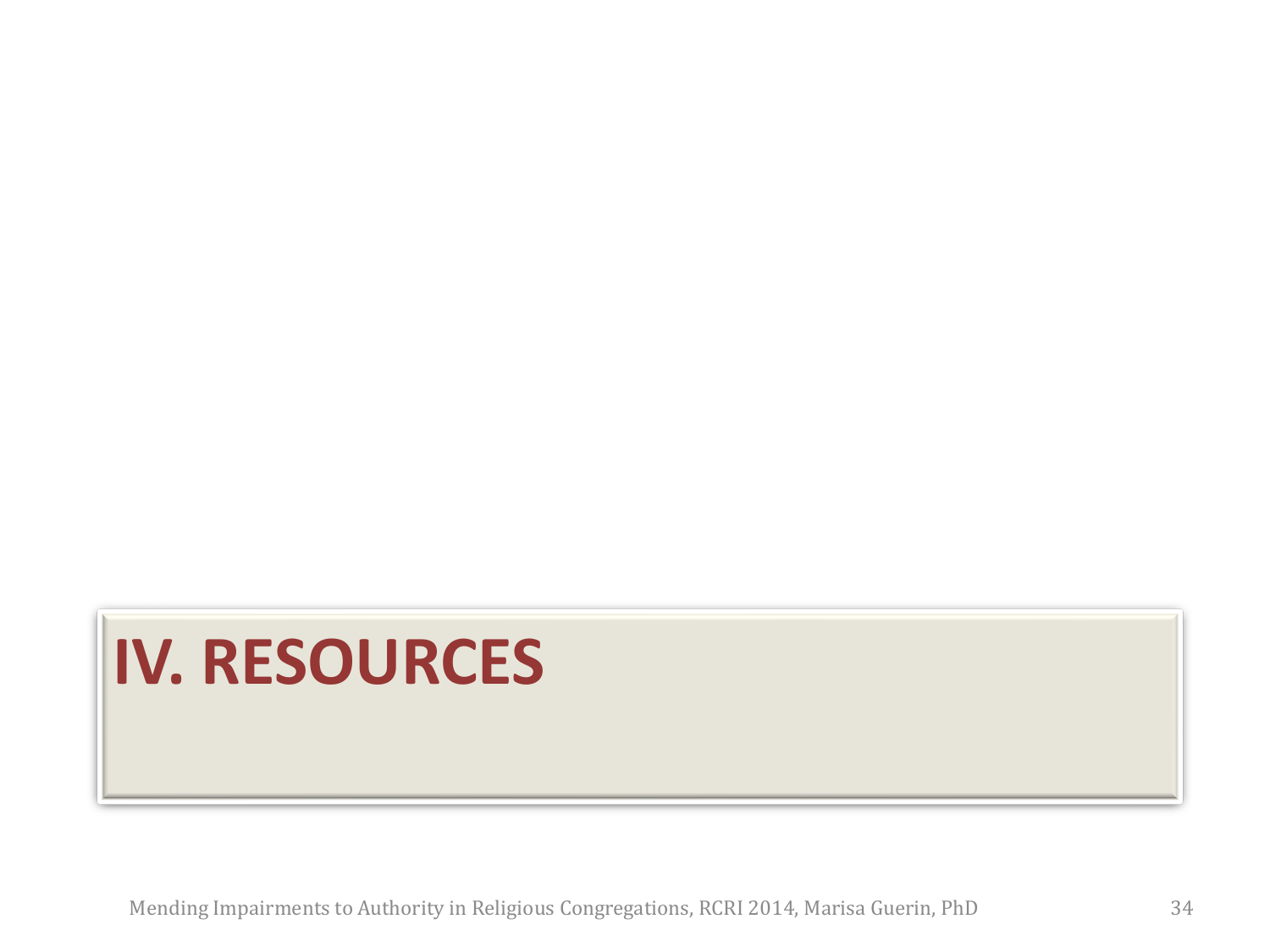# **IV. RESOURCES**

Mending Impairments to Authority in Religious Congregations, RCRI 2014, Marisa Guerin, PhD 34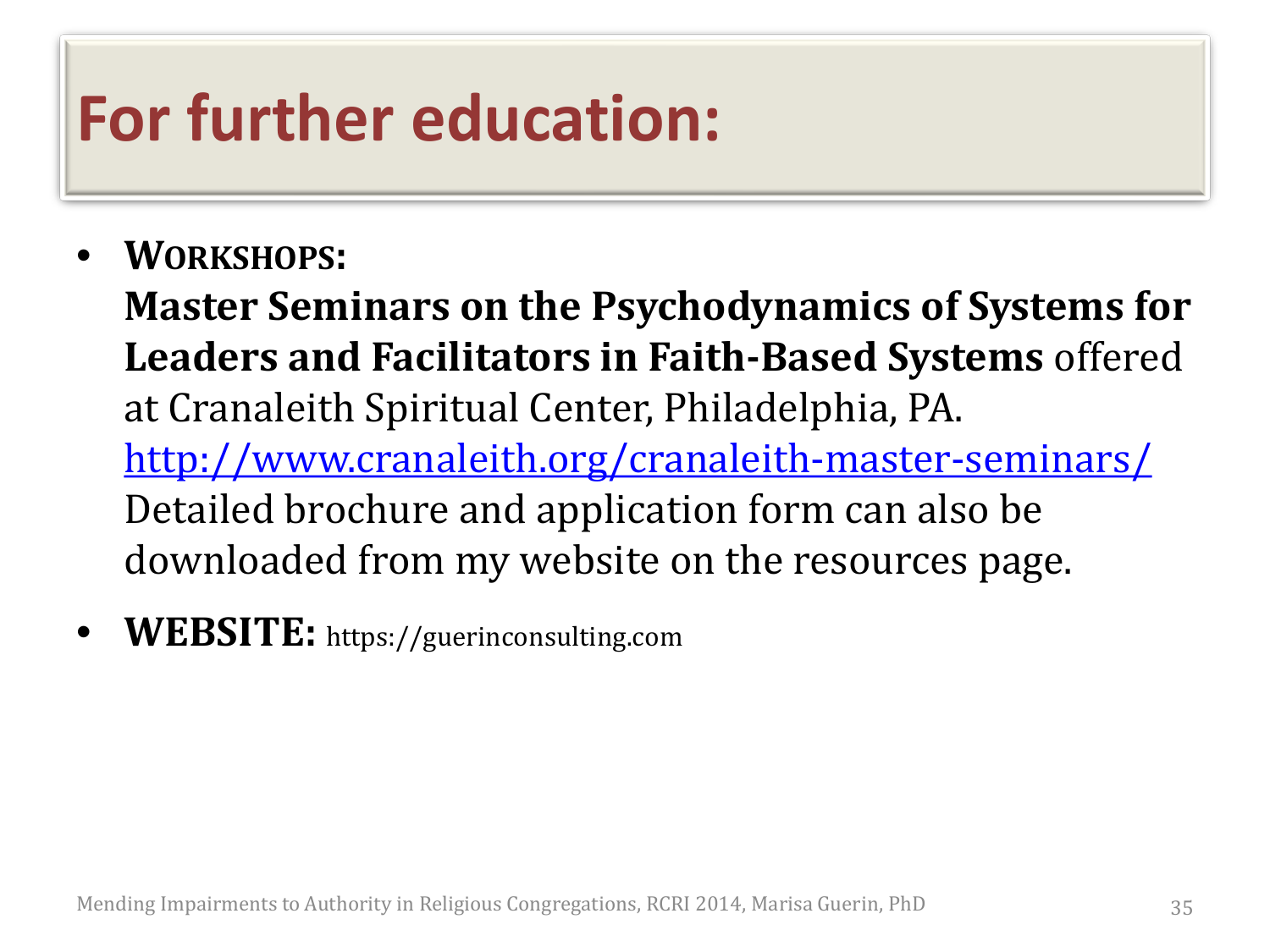### **For further education:**

• **WORKSHOPS:** 

**Master Seminars on the Psychodynamics of Systems for Leaders and Facilitators in Faith-Based Systems** offered at Cranaleith Spiritual Center, Philadelphia, PA. <http://www.cranaleith.org/cranaleith-master-seminars/> Detailed brochure and application form can also be downloaded from my website on the resources page.

• **WEBSITE:** https://guerinconsulting.com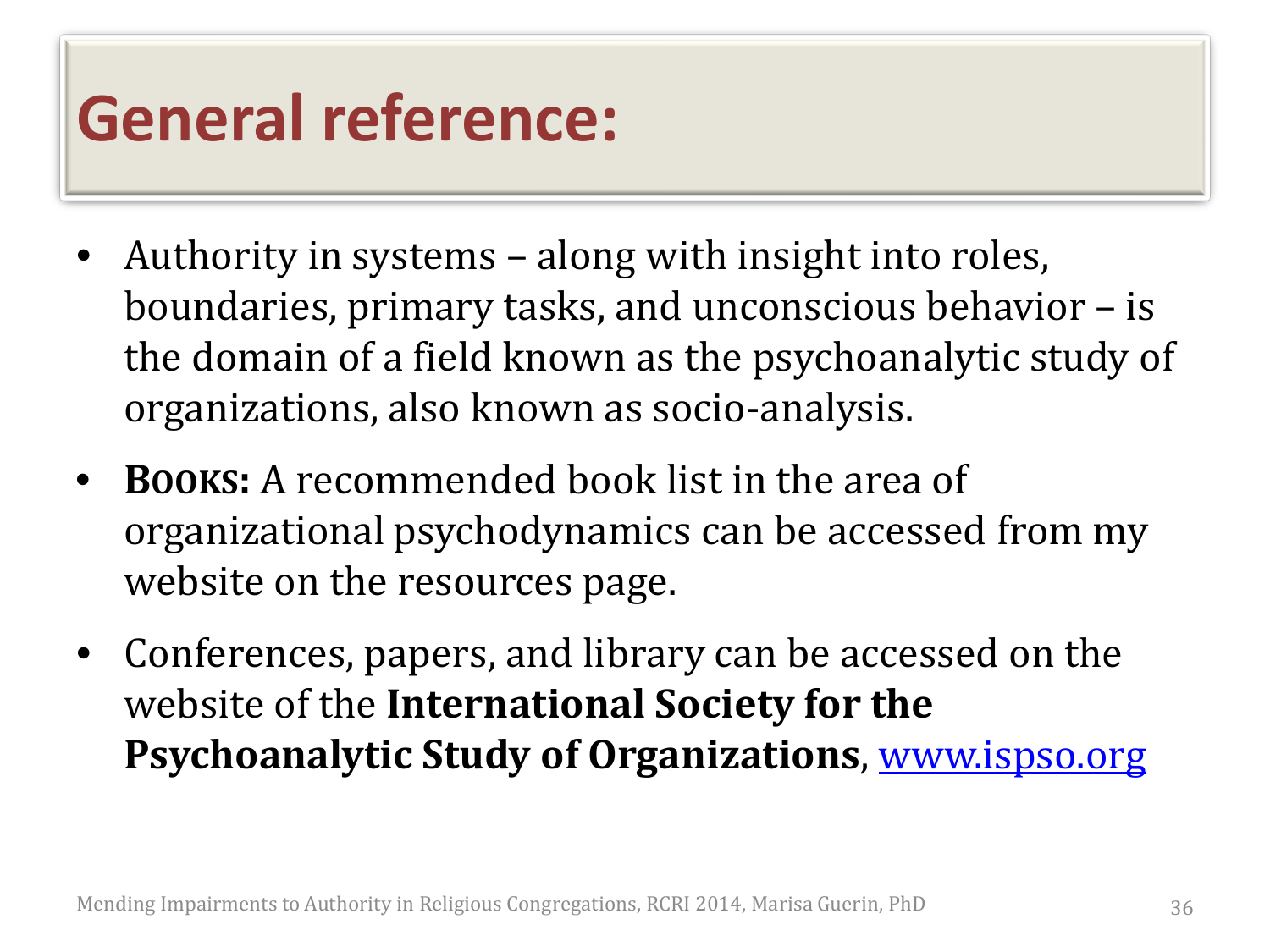### **General reference:**

- Authority in systems along with insight into roles, boundaries, primary tasks, and unconscious behavior – is the domain of a field known as the psychoanalytic study of organizations, also known as socio-analysis.
- **BOOKS:** A recommended book list in the area of organizational psychodynamics can be accessed from my website on the resources page.
- Conferences, papers, and library can be accessed on the website of the **International Society for the Psychoanalytic Study of Organizations**, [www.ispso.org](http://www.ispso.org/)